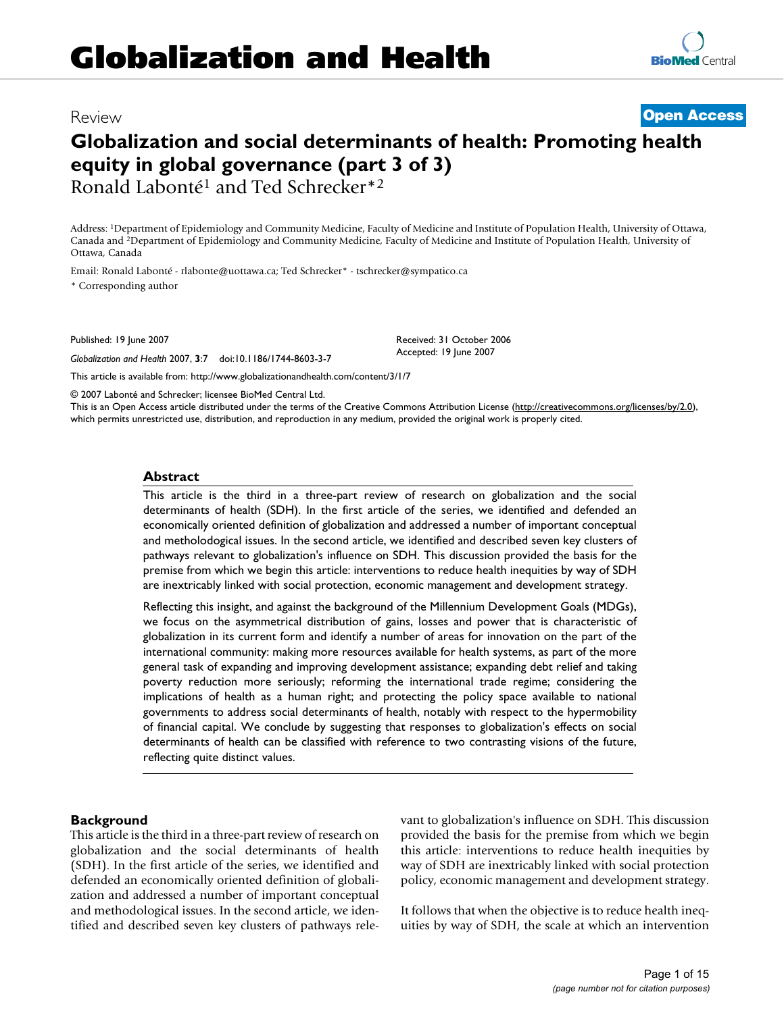## Review **[Open Access](http://www.biomedcentral.com/info/about/charter/)**

# **Globalization and social determinants of health: Promoting health equity in global governance (part 3 of 3)** Ronald Labonté1 and Ted Schrecker\*2

Address: 1Department of Epidemiology and Community Medicine, Faculty of Medicine and Institute of Population Health, University of Ottawa, Canada and 2Department of Epidemiology and Community Medicine, Faculty of Medicine and Institute of Population Health, University of Ottawa, Canada

> Received: 31 October 2006 Accepted: 19 June 2007

Email: Ronald Labonté - rlabonte@uottawa.ca; Ted Schrecker\* - tschrecker@sympatico.ca

\* Corresponding author

Published: 19 June 2007

*Globalization and Health* 2007, **3**:7 doi:10.1186/1744-8603-3-7

[This article is available from: http://www.globalizationandhealth.com/content/3/1/7](http://www.globalizationandhealth.com/content/3/1/7)

© 2007 Labonté and Schrecker; licensee BioMed Central Ltd.

This is an Open Access article distributed under the terms of the Creative Commons Attribution License [\(http://creativecommons.org/licenses/by/2.0\)](http://creativecommons.org/licenses/by/2.0), which permits unrestricted use, distribution, and reproduction in any medium, provided the original work is properly cited.

#### **Abstract**

This article is the third in a three-part review of research on globalization and the social determinants of health (SDH). In the first article of the series, we identified and defended an economically oriented definition of globalization and addressed a number of important conceptual and metholodogical issues. In the second article, we identified and described seven key clusters of pathways relevant to globalization's influence on SDH. This discussion provided the basis for the premise from which we begin this article: interventions to reduce health inequities by way of SDH are inextricably linked with social protection, economic management and development strategy.

Reflecting this insight, and against the background of the Millennium Development Goals (MDGs), we focus on the asymmetrical distribution of gains, losses and power that is characteristic of globalization in its current form and identify a number of areas for innovation on the part of the international community: making more resources available for health systems, as part of the more general task of expanding and improving development assistance; expanding debt relief and taking poverty reduction more seriously; reforming the international trade regime; considering the implications of health as a human right; and protecting the policy space available to national governments to address social determinants of health, notably with respect to the hypermobility of financial capital. We conclude by suggesting that responses to globalization's effects on social determinants of health can be classified with reference to two contrasting visions of the future, reflecting quite distinct values.

### **Background**

This article is the third in a three-part review of research on globalization and the social determinants of health (SDH). In the first article of the series, we identified and defended an economically oriented definition of globalization and addressed a number of important conceptual and methodological issues. In the second article, we identified and described seven key clusters of pathways relevant to globalization's influence on SDH. This discussion provided the basis for the premise from which we begin this article: interventions to reduce health inequities by way of SDH are inextricably linked with social protection policy, economic management and development strategy.

It follows that when the objective is to reduce health inequities by way of SDH, the scale at which an intervention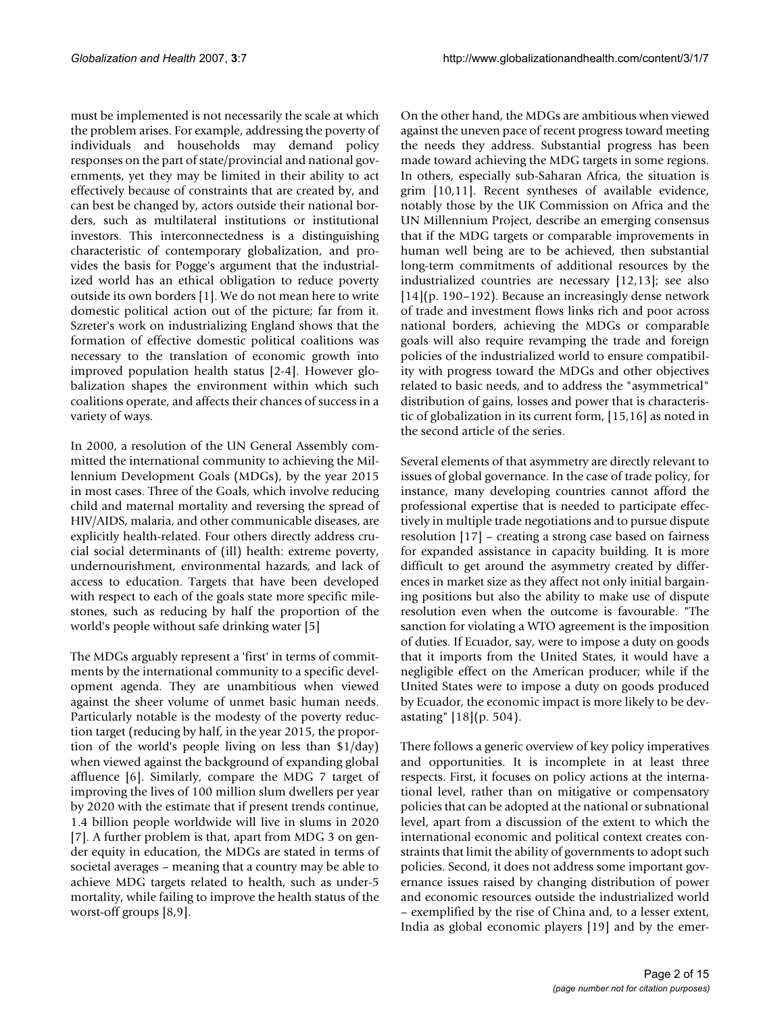must be implemented is not necessarily the scale at which the problem arises. For example, addressing the poverty of individuals and households may demand policy responses on the part of state/provincial and national governments, yet they may be limited in their ability to act effectively because of constraints that are created by, and can best be changed by, actors outside their national borders, such as multilateral institutions or institutional investors. This interconnectedness is a distinguishing characteristic of contemporary globalization, and provides the basis for Pogge's argument that the industrialized world has an ethical obligation to reduce poverty outside its own borders [1]. We do not mean here to write domestic political action out of the picture; far from it. Szreter's work on industrializing England shows that the formation of effective domestic political coalitions was necessary to the translation of economic growth into improved population health status [2-4]. However globalization shapes the environment within which such coalitions operate, and affects their chances of success in a variety of ways.

In 2000, a resolution of the UN General Assembly committed the international community to achieving the Millennium Development Goals (MDGs), by the year 2015 in most cases. Three of the Goals, which involve reducing child and maternal mortality and reversing the spread of HIV/AIDS, malaria, and other communicable diseases, are explicitly health-related. Four others directly address crucial social determinants of (ill) health: extreme poverty, undernourishment, environmental hazards, and lack of access to education. Targets that have been developed with respect to each of the goals state more specific milestones, such as reducing by half the proportion of the world's people without safe drinking water [5]

The MDGs arguably represent a 'first' in terms of commitments by the international community to a specific development agenda. They are unambitious when viewed against the sheer volume of unmet basic human needs. Particularly notable is the modesty of the poverty reduction target (reducing by half, in the year 2015, the proportion of the world's people living on less than \$1/day) when viewed against the background of expanding global affluence [6]. Similarly, compare the MDG 7 target of improving the lives of 100 million slum dwellers per year by 2020 with the estimate that if present trends continue, 1.4 billion people worldwide will live in slums in 2020 [7]. A further problem is that, apart from MDG 3 on gender equity in education, the MDGs are stated in terms of societal averages – meaning that a country may be able to achieve MDG targets related to health, such as under-5 mortality, while failing to improve the health status of the worst-off groups [8,9].

On the other hand, the MDGs are ambitious when viewed against the uneven pace of recent progress toward meeting the needs they address. Substantial progress has been made toward achieving the MDG targets in some regions. In others, especially sub-Saharan Africa, the situation is grim [10,11]. Recent syntheses of available evidence, notably those by the UK Commission on Africa and the UN Millennium Project, describe an emerging consensus that if the MDG targets or comparable improvements in human well being are to be achieved, then substantial long-term commitments of additional resources by the industrialized countries are necessary [12,13]; see also [14](p. 190–192). Because an increasingly dense network of trade and investment flows links rich and poor across national borders, achieving the MDGs or comparable goals will also require revamping the trade and foreign policies of the industrialized world to ensure compatibility with progress toward the MDGs and other objectives related to basic needs, and to address the "asymmetrical" distribution of gains, losses and power that is characteristic of globalization in its current form, [15,16] as noted in the second article of the series.

Several elements of that asymmetry are directly relevant to issues of global governance. In the case of trade policy, for instance, many developing countries cannot afford the professional expertise that is needed to participate effectively in multiple trade negotiations and to pursue dispute resolution [17] – creating a strong case based on fairness for expanded assistance in capacity building. It is more difficult to get around the asymmetry created by differences in market size as they affect not only initial bargaining positions but also the ability to make use of dispute resolution even when the outcome is favourable. "The sanction for violating a WTO agreement is the imposition of duties. If Ecuador, say, were to impose a duty on goods that it imports from the United States, it would have a negligible effect on the American producer; while if the United States were to impose a duty on goods produced by Ecuador, the economic impact is more likely to be devastating" [18](p. 504).

There follows a generic overview of key policy imperatives and opportunities. It is incomplete in at least three respects. First, it focuses on policy actions at the international level, rather than on mitigative or compensatory policies that can be adopted at the national or subnational level, apart from a discussion of the extent to which the international economic and political context creates constraints that limit the ability of governments to adopt such policies. Second, it does not address some important governance issues raised by changing distribution of power and economic resources outside the industrialized world – exemplified by the rise of China and, to a lesser extent, India as global economic players [19] and by the emer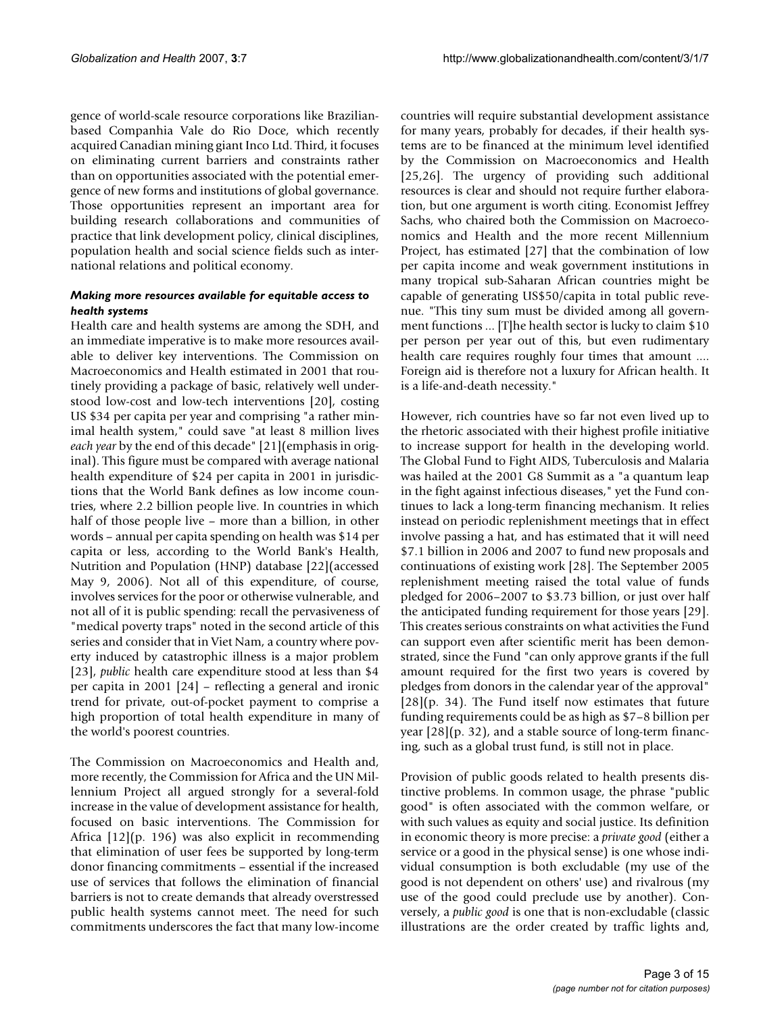gence of world-scale resource corporations like Brazilianbased Companhia Vale do Rio Doce, which recently acquired Canadian mining giant Inco Ltd. Third, it focuses on eliminating current barriers and constraints rather than on opportunities associated with the potential emergence of new forms and institutions of global governance. Those opportunities represent an important area for building research collaborations and communities of practice that link development policy, clinical disciplines, population health and social science fields such as international relations and political economy.

## *Making more resources available for equitable access to health systems*

Health care and health systems are among the SDH, and an immediate imperative is to make more resources available to deliver key interventions. The Commission on Macroeconomics and Health estimated in 2001 that routinely providing a package of basic, relatively well understood low-cost and low-tech interventions [20], costing US \$34 per capita per year and comprising "a rather minimal health system," could save "at least 8 million lives *each year* by the end of this decade" [21](emphasis in original). This figure must be compared with average national health expenditure of \$24 per capita in 2001 in jurisdictions that the World Bank defines as low income countries, where 2.2 billion people live. In countries in which half of those people live – more than a billion, in other words – annual per capita spending on health was \$14 per capita or less, according to the World Bank's Health, Nutrition and Population (HNP) database [22](accessed May 9, 2006). Not all of this expenditure, of course, involves services for the poor or otherwise vulnerable, and not all of it is public spending: recall the pervasiveness of "medical poverty traps" noted in the second article of this series and consider that in Viet Nam, a country where poverty induced by catastrophic illness is a major problem [23], *public* health care expenditure stood at less than \$4 per capita in 2001 [24] – reflecting a general and ironic trend for private, out-of-pocket payment to comprise a high proportion of total health expenditure in many of the world's poorest countries.

The Commission on Macroeconomics and Health and, more recently, the Commission for Africa and the UN Millennium Project all argued strongly for a several-fold increase in the value of development assistance for health, focused on basic interventions. The Commission for Africa [12](p. 196) was also explicit in recommending that elimination of user fees be supported by long-term donor financing commitments – essential if the increased use of services that follows the elimination of financial barriers is not to create demands that already overstressed public health systems cannot meet. The need for such commitments underscores the fact that many low-income

countries will require substantial development assistance for many years, probably for decades, if their health systems are to be financed at the minimum level identified by the Commission on Macroeconomics and Health [25,26]. The urgency of providing such additional resources is clear and should not require further elaboration, but one argument is worth citing. Economist Jeffrey Sachs, who chaired both the Commission on Macroeconomics and Health and the more recent Millennium Project, has estimated [27] that the combination of low per capita income and weak government institutions in many tropical sub-Saharan African countries might be capable of generating US\$50/capita in total public revenue. "This tiny sum must be divided among all government functions ... [T]he health sector is lucky to claim \$10 per person per year out of this, but even rudimentary health care requires roughly four times that amount .... Foreign aid is therefore not a luxury for African health. It is a life-and-death necessity."

However, rich countries have so far not even lived up to the rhetoric associated with their highest profile initiative to increase support for health in the developing world. The Global Fund to Fight AIDS, Tuberculosis and Malaria was hailed at the 2001 G8 Summit as a "a quantum leap in the fight against infectious diseases," yet the Fund continues to lack a long-term financing mechanism. It relies instead on periodic replenishment meetings that in effect involve passing a hat, and has estimated that it will need \$7.1 billion in 2006 and 2007 to fund new proposals and continuations of existing work [28]. The September 2005 replenishment meeting raised the total value of funds pledged for 2006–2007 to \$3.73 billion, or just over half the anticipated funding requirement for those years [29]. This creates serious constraints on what activities the Fund can support even after scientific merit has been demonstrated, since the Fund "can only approve grants if the full amount required for the first two years is covered by pledges from donors in the calendar year of the approval"  $[28]$ (p. 34). The Fund itself now estimates that future funding requirements could be as high as \$7–8 billion per year [28](p. 32), and a stable source of long-term financing, such as a global trust fund, is still not in place.

Provision of public goods related to health presents distinctive problems. In common usage, the phrase "public good" is often associated with the common welfare, or with such values as equity and social justice. Its definition in economic theory is more precise: a *private good* (either a service or a good in the physical sense) is one whose individual consumption is both excludable (my use of the good is not dependent on others' use) and rivalrous (my use of the good could preclude use by another). Conversely, a *public good* is one that is non-excludable (classic illustrations are the order created by traffic lights and,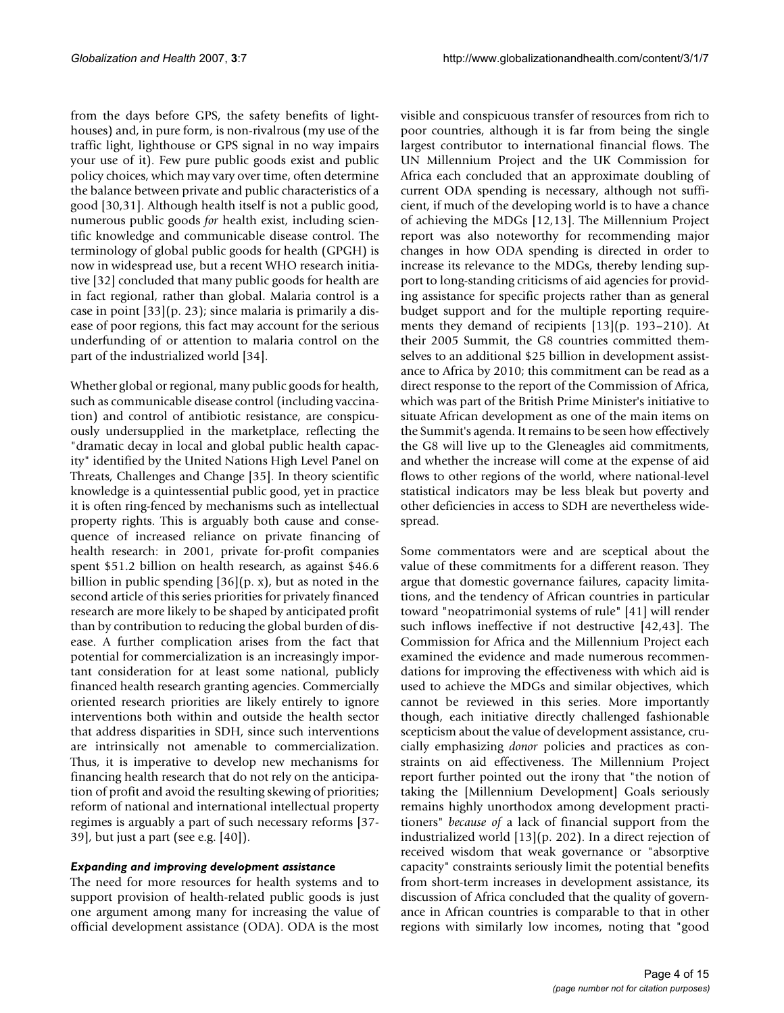from the days before GPS, the safety benefits of lighthouses) and, in pure form, is non-rivalrous (my use of the traffic light, lighthouse or GPS signal in no way impairs your use of it). Few pure public goods exist and public policy choices, which may vary over time, often determine the balance between private and public characteristics of a good [30,31]. Although health itself is not a public good, numerous public goods *for* health exist, including scientific knowledge and communicable disease control. The terminology of global public goods for health (GPGH) is now in widespread use, but a recent WHO research initiative [32] concluded that many public goods for health are in fact regional, rather than global. Malaria control is a case in point [33](p. 23); since malaria is primarily a disease of poor regions, this fact may account for the serious underfunding of or attention to malaria control on the part of the industrialized world [34].

Whether global or regional, many public goods for health, such as communicable disease control (including vaccination) and control of antibiotic resistance, are conspicuously undersupplied in the marketplace, reflecting the "dramatic decay in local and global public health capacity" identified by the United Nations High Level Panel on Threats, Challenges and Change [35]. In theory scientific knowledge is a quintessential public good, yet in practice it is often ring-fenced by mechanisms such as intellectual property rights. This is arguably both cause and consequence of increased reliance on private financing of health research: in 2001, private for-profit companies spent \$51.2 billion on health research, as against \$46.6 billion in public spending  $[36](p, x)$ , but as noted in the second article of this series priorities for privately financed research are more likely to be shaped by anticipated profit than by contribution to reducing the global burden of disease. A further complication arises from the fact that potential for commercialization is an increasingly important consideration for at least some national, publicly financed health research granting agencies. Commercially oriented research priorities are likely entirely to ignore interventions both within and outside the health sector that address disparities in SDH, since such interventions are intrinsically not amenable to commercialization. Thus, it is imperative to develop new mechanisms for financing health research that do not rely on the anticipation of profit and avoid the resulting skewing of priorities; reform of national and international intellectual property regimes is arguably a part of such necessary reforms [37- 39], but just a part (see e.g. [40]).

## *Expanding and improving development assistance*

The need for more resources for health systems and to support provision of health-related public goods is just one argument among many for increasing the value of official development assistance (ODA). ODA is the most visible and conspicuous transfer of resources from rich to poor countries, although it is far from being the single largest contributor to international financial flows. The UN Millennium Project and the UK Commission for Africa each concluded that an approximate doubling of current ODA spending is necessary, although not sufficient, if much of the developing world is to have a chance of achieving the MDGs [12,13]. The Millennium Project report was also noteworthy for recommending major changes in how ODA spending is directed in order to increase its relevance to the MDGs, thereby lending support to long-standing criticisms of aid agencies for providing assistance for specific projects rather than as general budget support and for the multiple reporting requirements they demand of recipients [13](p. 193–210). At their 2005 Summit, the G8 countries committed themselves to an additional \$25 billion in development assistance to Africa by 2010; this commitment can be read as a direct response to the report of the Commission of Africa, which was part of the British Prime Minister's initiative to situate African development as one of the main items on the Summit's agenda. It remains to be seen how effectively the G8 will live up to the Gleneagles aid commitments, and whether the increase will come at the expense of aid flows to other regions of the world, where national-level statistical indicators may be less bleak but poverty and other deficiencies in access to SDH are nevertheless widespread.

Some commentators were and are sceptical about the value of these commitments for a different reason. They argue that domestic governance failures, capacity limitations, and the tendency of African countries in particular toward "neopatrimonial systems of rule" [41] will render such inflows ineffective if not destructive [42,43]. The Commission for Africa and the Millennium Project each examined the evidence and made numerous recommendations for improving the effectiveness with which aid is used to achieve the MDGs and similar objectives, which cannot be reviewed in this series. More importantly though, each initiative directly challenged fashionable scepticism about the value of development assistance, crucially emphasizing *donor* policies and practices as constraints on aid effectiveness. The Millennium Project report further pointed out the irony that "the notion of taking the [Millennium Development] Goals seriously remains highly unorthodox among development practitioners" *because of* a lack of financial support from the industrialized world [13](p. 202). In a direct rejection of received wisdom that weak governance or "absorptive capacity" constraints seriously limit the potential benefits from short-term increases in development assistance, its discussion of Africa concluded that the quality of governance in African countries is comparable to that in other regions with similarly low incomes, noting that "good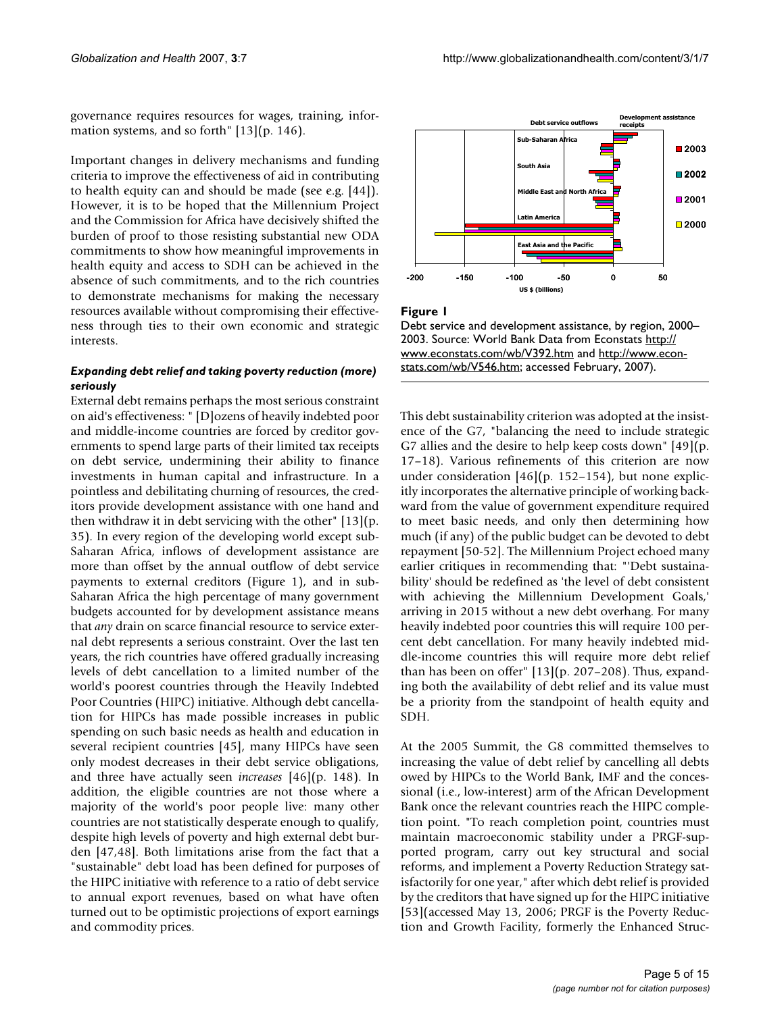governance requires resources for wages, training, information systems, and so forth" [13](p. 146).

Important changes in delivery mechanisms and funding criteria to improve the effectiveness of aid in contributing to health equity can and should be made (see e.g. [44]). However, it is to be hoped that the Millennium Project and the Commission for Africa have decisively shifted the burden of proof to those resisting substantial new ODA commitments to show how meaningful improvements in health equity and access to SDH can be achieved in the absence of such commitments, and to the rich countries to demonstrate mechanisms for making the necessary resources available without compromising their effectiveness through ties to their own economic and strategic interests.

### *Expanding debt relief and taking poverty reduction (more) seriously*

External debt remains perhaps the most serious constraint on aid's effectiveness: " [D]ozens of heavily indebted poor and middle-income countries are forced by creditor governments to spend large parts of their limited tax receipts on debt service, undermining their ability to finance investments in human capital and infrastructure. In a pointless and debilitating churning of resources, the creditors provide development assistance with one hand and then withdraw it in debt servicing with the other" [13](p. 35). In every region of the developing world except sub-Saharan Africa, inflows of development assistance are more than offset by the annual outflow of debt service payments to external creditors (Figure 1), and in sub-Saharan Africa the high percentage of many government budgets accounted for by development assistance means that *any* drain on scarce financial resource to service external debt represents a serious constraint. Over the last ten years, the rich countries have offered gradually increasing levels of debt cancellation to a limited number of the world's poorest countries through the Heavily Indebted Poor Countries (HIPC) initiative. Although debt cancellation for HIPCs has made possible increases in public spending on such basic needs as health and education in several recipient countries [45], many HIPCs have seen only modest decreases in their debt service obligations, and three have actually seen *increases* [46](p. 148). In addition, the eligible countries are not those where a majority of the world's poor people live: many other countries are not statistically desperate enough to qualify, despite high levels of poverty and high external debt burden [47,48]. Both limitations arise from the fact that a "sustainable" debt load has been defined for purposes of the HIPC initiative with reference to a ratio of debt service to annual export revenues, based on what have often turned out to be optimistic projections of export earnings and commodity prices.



**Figure 1** 

Debt service and development assistance, by region, 2000– 2003. Source: World Bank Data from Econstats [http://](http://www.econstats.com/wb/V392.htm) [www.econstats.com/wb/V392.htm](http://www.econstats.com/wb/V392.htm) and [http://www.econ](http://www.econstats.com/wb/V546.htm)[stats.com/wb/V546.htm](http://www.econstats.com/wb/V546.htm); accessed February, 2007).

This debt sustainability criterion was adopted at the insistence of the G7, "balancing the need to include strategic G7 allies and the desire to help keep costs down" [49](p. 17–18). Various refinements of this criterion are now under consideration [46](p. 152–154), but none explicitly incorporates the alternative principle of working backward from the value of government expenditure required to meet basic needs, and only then determining how much (if any) of the public budget can be devoted to debt repayment [50-52]. The Millennium Project echoed many earlier critiques in recommending that: "'Debt sustainability' should be redefined as 'the level of debt consistent with achieving the Millennium Development Goals,' arriving in 2015 without a new debt overhang. For many heavily indebted poor countries this will require 100 percent debt cancellation. For many heavily indebted middle-income countries this will require more debt relief than has been on offer" [13](p. 207–208). Thus, expanding both the availability of debt relief and its value must be a priority from the standpoint of health equity and SDH.

At the 2005 Summit, the G8 committed themselves to increasing the value of debt relief by cancelling all debts owed by HIPCs to the World Bank, IMF and the concessional (i.e., low-interest) arm of the African Development Bank once the relevant countries reach the HIPC completion point. "To reach completion point, countries must maintain macroeconomic stability under a PRGF-supported program, carry out key structural and social reforms, and implement a Poverty Reduction Strategy satisfactorily for one year," after which debt relief is provided by the creditors that have signed up for the HIPC initiative [53](accessed May 13, 2006; PRGF is the Poverty Reduction and Growth Facility, formerly the Enhanced Struc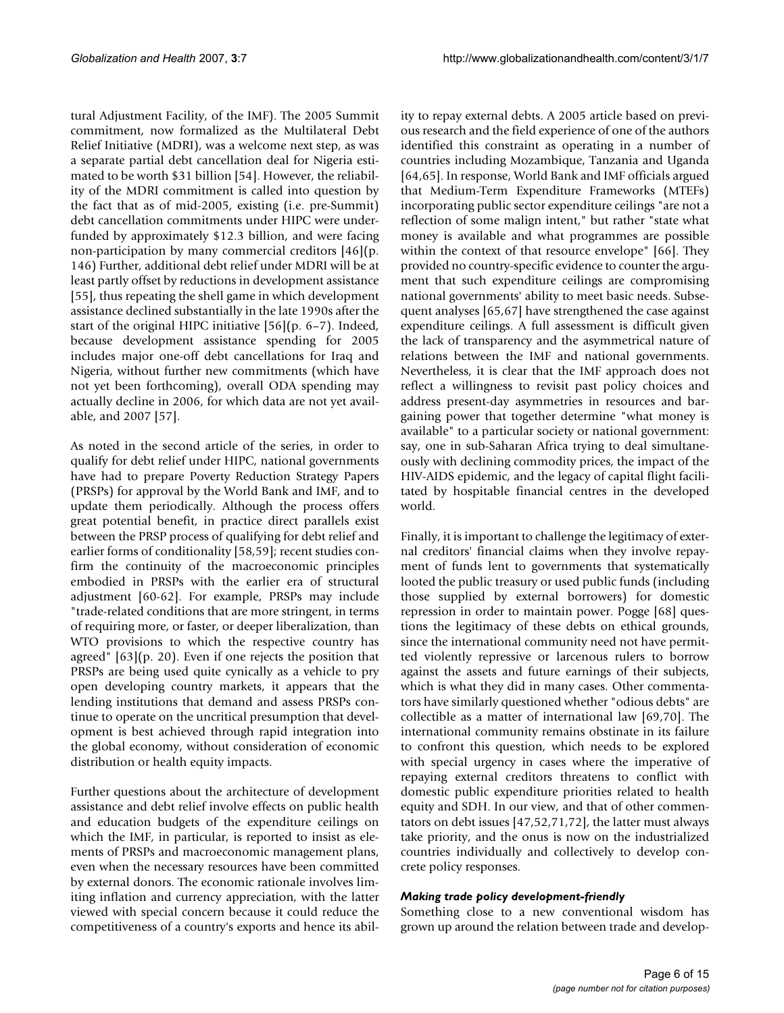tural Adjustment Facility, of the IMF). The 2005 Summit commitment, now formalized as the Multilateral Debt Relief Initiative (MDRI), was a welcome next step, as was a separate partial debt cancellation deal for Nigeria estimated to be worth \$31 billion [54]. However, the reliability of the MDRI commitment is called into question by the fact that as of mid-2005, existing (i.e. pre-Summit) debt cancellation commitments under HIPC were underfunded by approximately \$12.3 billion, and were facing non-participation by many commercial creditors [46](p. 146) Further, additional debt relief under MDRI will be at least partly offset by reductions in development assistance [55], thus repeating the shell game in which development assistance declined substantially in the late 1990s after the start of the original HIPC initiative [56](p. 6–7). Indeed, because development assistance spending for 2005 includes major one-off debt cancellations for Iraq and Nigeria, without further new commitments (which have not yet been forthcoming), overall ODA spending may actually decline in 2006, for which data are not yet available, and 2007 [57].

As noted in the second article of the series, in order to qualify for debt relief under HIPC, national governments have had to prepare Poverty Reduction Strategy Papers (PRSPs) for approval by the World Bank and IMF, and to update them periodically. Although the process offers great potential benefit, in practice direct parallels exist between the PRSP process of qualifying for debt relief and earlier forms of conditionality [58,59]; recent studies confirm the continuity of the macroeconomic principles embodied in PRSPs with the earlier era of structural adjustment [60-62]. For example, PRSPs may include "trade-related conditions that are more stringent, in terms of requiring more, or faster, or deeper liberalization, than WTO provisions to which the respective country has agreed" [63](p. 20). Even if one rejects the position that PRSPs are being used quite cynically as a vehicle to pry open developing country markets, it appears that the lending institutions that demand and assess PRSPs continue to operate on the uncritical presumption that development is best achieved through rapid integration into the global economy, without consideration of economic distribution or health equity impacts.

Further questions about the architecture of development assistance and debt relief involve effects on public health and education budgets of the expenditure ceilings on which the IMF, in particular, is reported to insist as elements of PRSPs and macroeconomic management plans, even when the necessary resources have been committed by external donors. The economic rationale involves limiting inflation and currency appreciation, with the latter viewed with special concern because it could reduce the competitiveness of a country's exports and hence its ability to repay external debts. A 2005 article based on previous research and the field experience of one of the authors identified this constraint as operating in a number of countries including Mozambique, Tanzania and Uganda [64,65]. In response, World Bank and IMF officials argued that Medium-Term Expenditure Frameworks (MTEFs) incorporating public sector expenditure ceilings "are not a reflection of some malign intent," but rather "state what money is available and what programmes are possible within the context of that resource envelope" [66]. They provided no country-specific evidence to counter the argument that such expenditure ceilings are compromising national governments' ability to meet basic needs. Subsequent analyses [65,67] have strengthened the case against expenditure ceilings. A full assessment is difficult given the lack of transparency and the asymmetrical nature of relations between the IMF and national governments. Nevertheless, it is clear that the IMF approach does not reflect a willingness to revisit past policy choices and address present-day asymmetries in resources and bargaining power that together determine "what money is available" to a particular society or national government: say, one in sub-Saharan Africa trying to deal simultaneously with declining commodity prices, the impact of the HIV-AIDS epidemic, and the legacy of capital flight facilitated by hospitable financial centres in the developed world.

Finally, it is important to challenge the legitimacy of external creditors' financial claims when they involve repayment of funds lent to governments that systematically looted the public treasury or used public funds (including those supplied by external borrowers) for domestic repression in order to maintain power. Pogge [68] questions the legitimacy of these debts on ethical grounds, since the international community need not have permitted violently repressive or larcenous rulers to borrow against the assets and future earnings of their subjects, which is what they did in many cases. Other commentators have similarly questioned whether "odious debts" are collectible as a matter of international law [69,70]. The international community remains obstinate in its failure to confront this question, which needs to be explored with special urgency in cases where the imperative of repaying external creditors threatens to conflict with domestic public expenditure priorities related to health equity and SDH. In our view, and that of other commentators on debt issues [47,52,71,72], the latter must always take priority, and the onus is now on the industrialized countries individually and collectively to develop concrete policy responses.

## *Making trade policy development-friendly*

Something close to a new conventional wisdom has grown up around the relation between trade and develop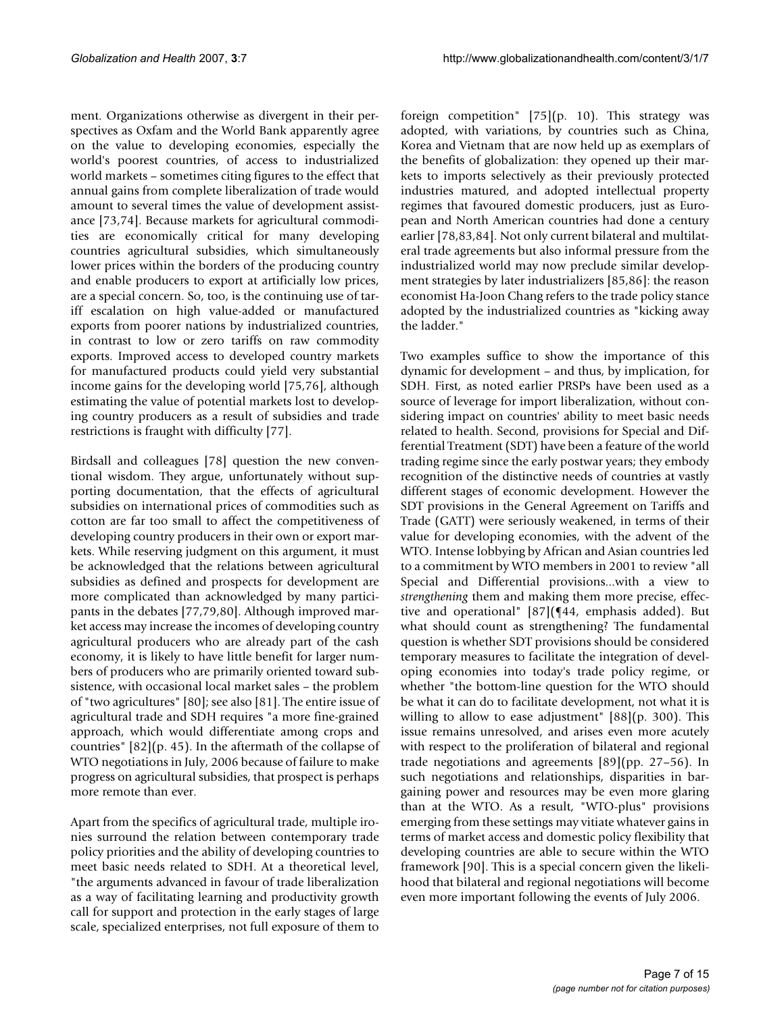ment. Organizations otherwise as divergent in their perspectives as Oxfam and the World Bank apparently agree on the value to developing economies, especially the world's poorest countries, of access to industrialized world markets – sometimes citing figures to the effect that annual gains from complete liberalization of trade would amount to several times the value of development assistance [73,74]. Because markets for agricultural commodities are economically critical for many developing countries agricultural subsidies, which simultaneously lower prices within the borders of the producing country and enable producers to export at artificially low prices, are a special concern. So, too, is the continuing use of tariff escalation on high value-added or manufactured exports from poorer nations by industrialized countries, in contrast to low or zero tariffs on raw commodity exports. Improved access to developed country markets for manufactured products could yield very substantial income gains for the developing world [75,76], although estimating the value of potential markets lost to developing country producers as a result of subsidies and trade restrictions is fraught with difficulty [77].

Birdsall and colleagues [78] question the new conventional wisdom. They argue, unfortunately without supporting documentation, that the effects of agricultural subsidies on international prices of commodities such as cotton are far too small to affect the competitiveness of developing country producers in their own or export markets. While reserving judgment on this argument, it must be acknowledged that the relations between agricultural subsidies as defined and prospects for development are more complicated than acknowledged by many participants in the debates [77,79,80]. Although improved market access may increase the incomes of developing country agricultural producers who are already part of the cash economy, it is likely to have little benefit for larger numbers of producers who are primarily oriented toward subsistence, with occasional local market sales – the problem of "two agricultures" [80]; see also [81]. The entire issue of agricultural trade and SDH requires "a more fine-grained approach, which would differentiate among crops and countries" [82](p. 45). In the aftermath of the collapse of WTO negotiations in July, 2006 because of failure to make progress on agricultural subsidies, that prospect is perhaps more remote than ever.

Apart from the specifics of agricultural trade, multiple ironies surround the relation between contemporary trade policy priorities and the ability of developing countries to meet basic needs related to SDH. At a theoretical level, "the arguments advanced in favour of trade liberalization as a way of facilitating learning and productivity growth call for support and protection in the early stages of large scale, specialized enterprises, not full exposure of them to

foreign competition" [75](p. 10). This strategy was adopted, with variations, by countries such as China, Korea and Vietnam that are now held up as exemplars of the benefits of globalization: they opened up their markets to imports selectively as their previously protected industries matured, and adopted intellectual property regimes that favoured domestic producers, just as European and North American countries had done a century earlier [78,83,84]. Not only current bilateral and multilateral trade agreements but also informal pressure from the industrialized world may now preclude similar development strategies by later industrializers [85,86]: the reason economist Ha-Joon Chang refers to the trade policy stance adopted by the industrialized countries as "kicking away the ladder."

Two examples suffice to show the importance of this dynamic for development – and thus, by implication, for SDH. First, as noted earlier PRSPs have been used as a source of leverage for import liberalization, without considering impact on countries' ability to meet basic needs related to health. Second, provisions for Special and Differential Treatment (SDT) have been a feature of the world trading regime since the early postwar years; they embody recognition of the distinctive needs of countries at vastly different stages of economic development. However the SDT provisions in the General Agreement on Tariffs and Trade (GATT) were seriously weakened, in terms of their value for developing economies, with the advent of the WTO. Intense lobbying by African and Asian countries led to a commitment by WTO members in 2001 to review "all Special and Differential provisions...with a view to *strengthening* them and making them more precise, effective and operational" [87](¶44, emphasis added). But what should count as strengthening? The fundamental question is whether SDT provisions should be considered temporary measures to facilitate the integration of developing economies into today's trade policy regime, or whether "the bottom-line question for the WTO should be what it can do to facilitate development, not what it is willing to allow to ease adjustment" [88](p. 300). This issue remains unresolved, and arises even more acutely with respect to the proliferation of bilateral and regional trade negotiations and agreements [89](pp. 27–56). In such negotiations and relationships, disparities in bargaining power and resources may be even more glaring than at the WTO. As a result, "WTO-plus" provisions emerging from these settings may vitiate whatever gains in terms of market access and domestic policy flexibility that developing countries are able to secure within the WTO framework [90]. This is a special concern given the likelihood that bilateral and regional negotiations will become even more important following the events of July 2006.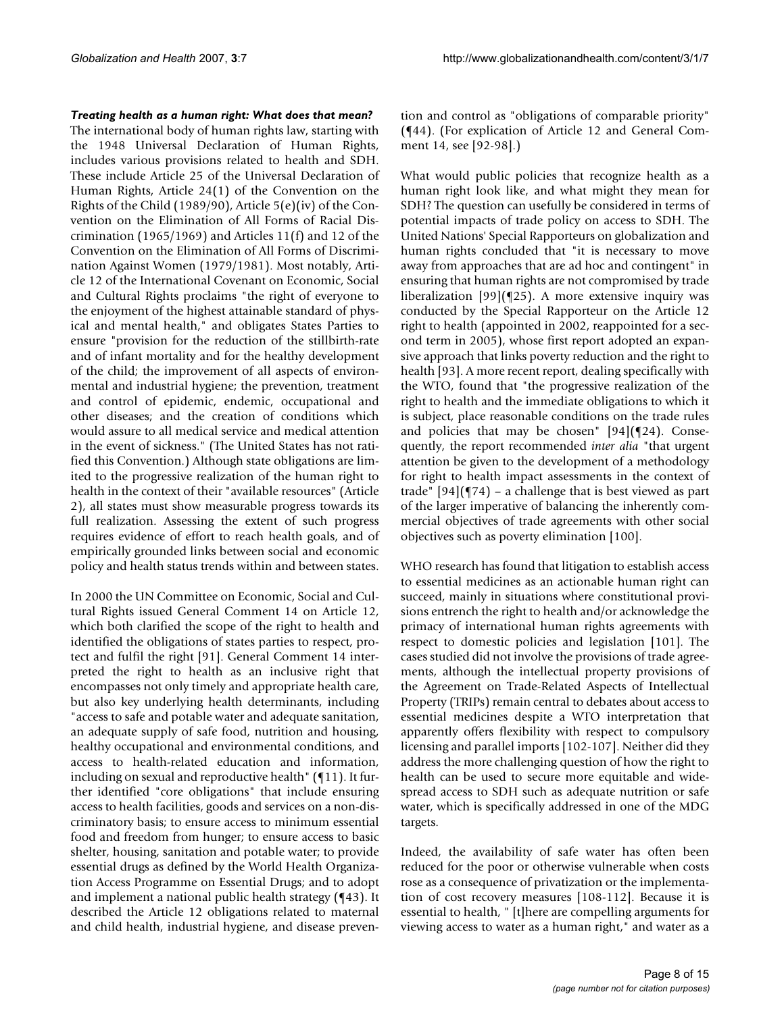## *Treating health as a human right: What does that mean?*

The international body of human rights law, starting with the 1948 Universal Declaration of Human Rights, includes various provisions related to health and SDH. These include Article 25 of the Universal Declaration of Human Rights, Article 24(1) of the Convention on the Rights of the Child (1989/90), Article 5(e)(iv) of the Convention on the Elimination of All Forms of Racial Discrimination (1965/1969) and Articles 11(f) and 12 of the Convention on the Elimination of All Forms of Discrimination Against Women (1979/1981). Most notably, Article 12 of the International Covenant on Economic, Social and Cultural Rights proclaims "the right of everyone to the enjoyment of the highest attainable standard of physical and mental health," and obligates States Parties to ensure "provision for the reduction of the stillbirth-rate and of infant mortality and for the healthy development of the child; the improvement of all aspects of environmental and industrial hygiene; the prevention, treatment and control of epidemic, endemic, occupational and other diseases; and the creation of conditions which would assure to all medical service and medical attention in the event of sickness." (The United States has not ratified this Convention.) Although state obligations are limited to the progressive realization of the human right to health in the context of their "available resources" (Article 2), all states must show measurable progress towards its full realization. Assessing the extent of such progress requires evidence of effort to reach health goals, and of empirically grounded links between social and economic policy and health status trends within and between states.

In 2000 the UN Committee on Economic, Social and Cultural Rights issued General Comment 14 on Article 12, which both clarified the scope of the right to health and identified the obligations of states parties to respect, protect and fulfil the right [91]. General Comment 14 interpreted the right to health as an inclusive right that encompasses not only timely and appropriate health care, but also key underlying health determinants, including "access to safe and potable water and adequate sanitation, an adequate supply of safe food, nutrition and housing, healthy occupational and environmental conditions, and access to health-related education and information, including on sexual and reproductive health" (¶11). It further identified "core obligations" that include ensuring access to health facilities, goods and services on a non-discriminatory basis; to ensure access to minimum essential food and freedom from hunger; to ensure access to basic shelter, housing, sanitation and potable water; to provide essential drugs as defined by the World Health Organization Access Programme on Essential Drugs; and to adopt and implement a national public health strategy (¶43). It described the Article 12 obligations related to maternal and child health, industrial hygiene, and disease prevention and control as "obligations of comparable priority" (¶44). (For explication of Article 12 and General Comment 14, see [92-98].)

What would public policies that recognize health as a human right look like, and what might they mean for SDH? The question can usefully be considered in terms of potential impacts of trade policy on access to SDH. The United Nations' Special Rapporteurs on globalization and human rights concluded that "it is necessary to move away from approaches that are ad hoc and contingent" in ensuring that human rights are not compromised by trade liberalization [99](¶25). A more extensive inquiry was conducted by the Special Rapporteur on the Article 12 right to health (appointed in 2002, reappointed for a second term in 2005), whose first report adopted an expansive approach that links poverty reduction and the right to health [93]. A more recent report, dealing specifically with the WTO, found that "the progressive realization of the right to health and the immediate obligations to which it is subject, place reasonable conditions on the trade rules and policies that may be chosen"  $[94]$ ( $[24]$ ). Consequently, the report recommended *inter alia* "that urgent attention be given to the development of a methodology for right to health impact assessments in the context of trade" [94](¶74) – a challenge that is best viewed as part of the larger imperative of balancing the inherently commercial objectives of trade agreements with other social objectives such as poverty elimination [100].

WHO research has found that litigation to establish access to essential medicines as an actionable human right can succeed, mainly in situations where constitutional provisions entrench the right to health and/or acknowledge the primacy of international human rights agreements with respect to domestic policies and legislation [101]. The cases studied did not involve the provisions of trade agreements, although the intellectual property provisions of the Agreement on Trade-Related Aspects of Intellectual Property (TRIPs) remain central to debates about access to essential medicines despite a WTO interpretation that apparently offers flexibility with respect to compulsory licensing and parallel imports [102-107]. Neither did they address the more challenging question of how the right to health can be used to secure more equitable and widespread access to SDH such as adequate nutrition or safe water, which is specifically addressed in one of the MDG targets.

Indeed, the availability of safe water has often been reduced for the poor or otherwise vulnerable when costs rose as a consequence of privatization or the implementation of cost recovery measures [108-112]. Because it is essential to health, " [t]here are compelling arguments for viewing access to water as a human right," and water as a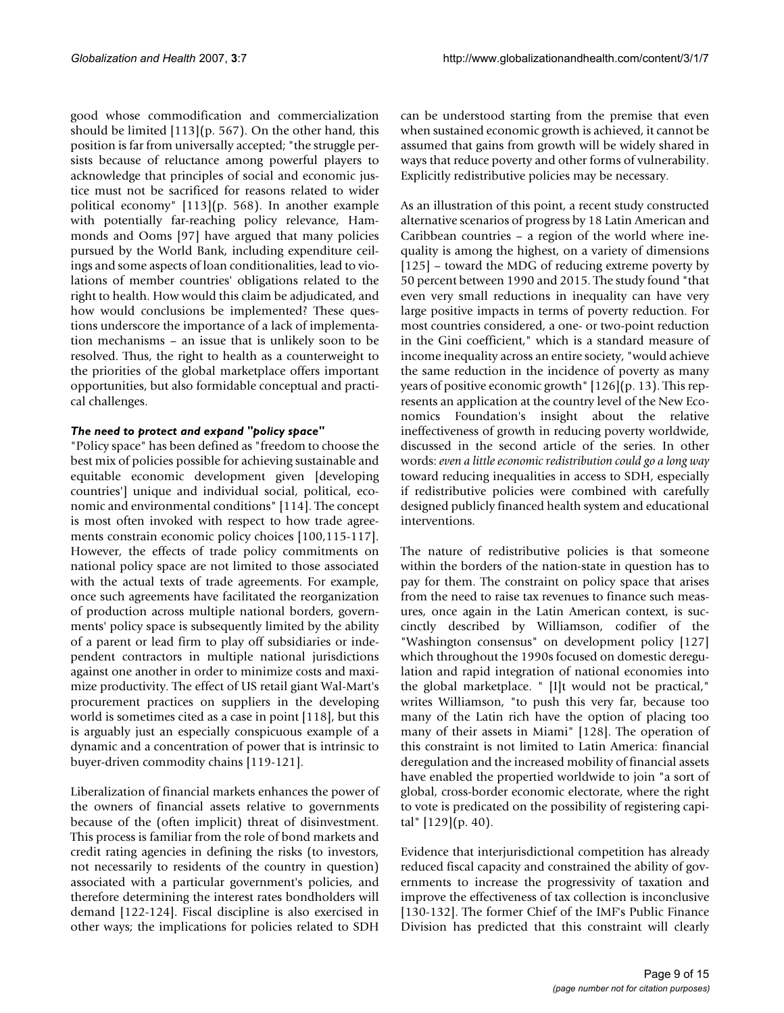good whose commodification and commercialization should be limited [113](p. 567). On the other hand, this position is far from universally accepted; "the struggle persists because of reluctance among powerful players to acknowledge that principles of social and economic justice must not be sacrificed for reasons related to wider political economy" [113](p. 568). In another example with potentially far-reaching policy relevance, Hammonds and Ooms [97] have argued that many policies pursued by the World Bank, including expenditure ceilings and some aspects of loan conditionalities, lead to violations of member countries' obligations related to the right to health. How would this claim be adjudicated, and how would conclusions be implemented? These questions underscore the importance of a lack of implementation mechanisms – an issue that is unlikely soon to be resolved. Thus, the right to health as a counterweight to the priorities of the global marketplace offers important opportunities, but also formidable conceptual and practical challenges.

## *The need to protect and expand "policy space"*

"Policy space" has been defined as "freedom to choose the best mix of policies possible for achieving sustainable and equitable economic development given [developing countries'] unique and individual social, political, economic and environmental conditions" [114]. The concept is most often invoked with respect to how trade agreements constrain economic policy choices [100,115-117]. However, the effects of trade policy commitments on national policy space are not limited to those associated with the actual texts of trade agreements. For example, once such agreements have facilitated the reorganization of production across multiple national borders, governments' policy space is subsequently limited by the ability of a parent or lead firm to play off subsidiaries or independent contractors in multiple national jurisdictions against one another in order to minimize costs and maximize productivity. The effect of US retail giant Wal-Mart's procurement practices on suppliers in the developing world is sometimes cited as a case in point [118], but this is arguably just an especially conspicuous example of a dynamic and a concentration of power that is intrinsic to buyer-driven commodity chains [119-121].

Liberalization of financial markets enhances the power of the owners of financial assets relative to governments because of the (often implicit) threat of disinvestment. This process is familiar from the role of bond markets and credit rating agencies in defining the risks (to investors, not necessarily to residents of the country in question) associated with a particular government's policies, and therefore determining the interest rates bondholders will demand [122-124]. Fiscal discipline is also exercised in other ways; the implications for policies related to SDH

can be understood starting from the premise that even when sustained economic growth is achieved, it cannot be assumed that gains from growth will be widely shared in ways that reduce poverty and other forms of vulnerability. Explicitly redistributive policies may be necessary.

As an illustration of this point, a recent study constructed alternative scenarios of progress by 18 Latin American and Caribbean countries – a region of the world where inequality is among the highest, on a variety of dimensions [125] – toward the MDG of reducing extreme poverty by 50 percent between 1990 and 2015. The study found "that even very small reductions in inequality can have very large positive impacts in terms of poverty reduction. For most countries considered, a one- or two-point reduction in the Gini coefficient," which is a standard measure of income inequality across an entire society, "would achieve the same reduction in the incidence of poverty as many years of positive economic growth" [126](p. 13). This represents an application at the country level of the New Economics Foundation's insight about the relative ineffectiveness of growth in reducing poverty worldwide, discussed in the second article of the series. In other words: *even a little economic redistribution could go a long way* toward reducing inequalities in access to SDH, especially if redistributive policies were combined with carefully designed publicly financed health system and educational interventions.

The nature of redistributive policies is that someone within the borders of the nation-state in question has to pay for them. The constraint on policy space that arises from the need to raise tax revenues to finance such measures, once again in the Latin American context, is succinctly described by Williamson, codifier of the "Washington consensus" on development policy [127] which throughout the 1990s focused on domestic deregulation and rapid integration of national economies into the global marketplace. " [I]t would not be practical," writes Williamson, "to push this very far, because too many of the Latin rich have the option of placing too many of their assets in Miami" [128]. The operation of this constraint is not limited to Latin America: financial deregulation and the increased mobility of financial assets have enabled the propertied worldwide to join "a sort of global, cross-border economic electorate, where the right to vote is predicated on the possibility of registering capital" [129](p. 40).

Evidence that interjurisdictional competition has already reduced fiscal capacity and constrained the ability of governments to increase the progressivity of taxation and improve the effectiveness of tax collection is inconclusive [130-132]. The former Chief of the IMF's Public Finance Division has predicted that this constraint will clearly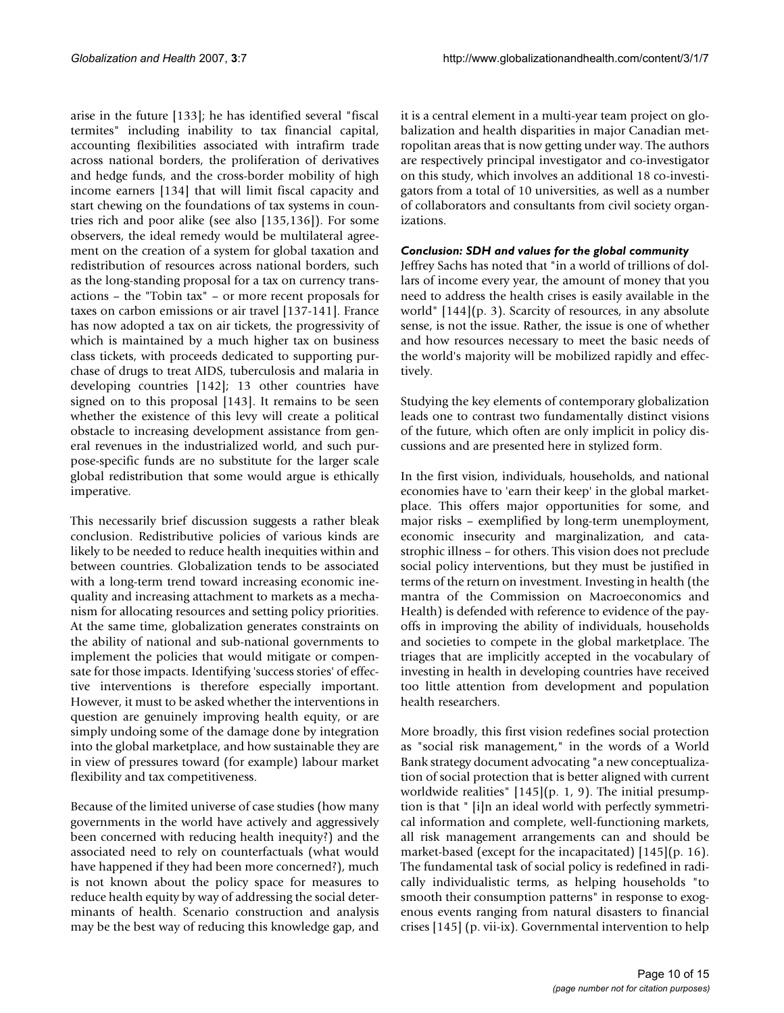arise in the future [133]; he has identified several "fiscal termites" including inability to tax financial capital, accounting flexibilities associated with intrafirm trade across national borders, the proliferation of derivatives and hedge funds, and the cross-border mobility of high income earners [134] that will limit fiscal capacity and start chewing on the foundations of tax systems in countries rich and poor alike (see also [135,136]). For some observers, the ideal remedy would be multilateral agreement on the creation of a system for global taxation and redistribution of resources across national borders, such as the long-standing proposal for a tax on currency transactions – the "Tobin tax" – or more recent proposals for taxes on carbon emissions or air travel [137-141]. France has now adopted a tax on air tickets, the progressivity of which is maintained by a much higher tax on business class tickets, with proceeds dedicated to supporting purchase of drugs to treat AIDS, tuberculosis and malaria in developing countries [142]; 13 other countries have signed on to this proposal [143]. It remains to be seen whether the existence of this levy will create a political obstacle to increasing development assistance from general revenues in the industrialized world, and such purpose-specific funds are no substitute for the larger scale global redistribution that some would argue is ethically imperative.

This necessarily brief discussion suggests a rather bleak conclusion. Redistributive policies of various kinds are likely to be needed to reduce health inequities within and between countries. Globalization tends to be associated with a long-term trend toward increasing economic inequality and increasing attachment to markets as a mechanism for allocating resources and setting policy priorities. At the same time, globalization generates constraints on the ability of national and sub-national governments to implement the policies that would mitigate or compensate for those impacts. Identifying 'success stories' of effective interventions is therefore especially important. However, it must to be asked whether the interventions in question are genuinely improving health equity, or are simply undoing some of the damage done by integration into the global marketplace, and how sustainable they are in view of pressures toward (for example) labour market flexibility and tax competitiveness.

Because of the limited universe of case studies (how many governments in the world have actively and aggressively been concerned with reducing health inequity?) and the associated need to rely on counterfactuals (what would have happened if they had been more concerned?), much is not known about the policy space for measures to reduce health equity by way of addressing the social determinants of health. Scenario construction and analysis may be the best way of reducing this knowledge gap, and

it is a central element in a multi-year team project on globalization and health disparities in major Canadian metropolitan areas that is now getting under way. The authors are respectively principal investigator and co-investigator on this study, which involves an additional 18 co-investigators from a total of 10 universities, as well as a number of collaborators and consultants from civil society organizations.

## *Conclusion: SDH and values for the global community*

Jeffrey Sachs has noted that "in a world of trillions of dollars of income every year, the amount of money that you need to address the health crises is easily available in the world" [144](p. 3). Scarcity of resources, in any absolute sense, is not the issue. Rather, the issue is one of whether and how resources necessary to meet the basic needs of the world's majority will be mobilized rapidly and effectively.

Studying the key elements of contemporary globalization leads one to contrast two fundamentally distinct visions of the future, which often are only implicit in policy discussions and are presented here in stylized form.

In the first vision, individuals, households, and national economies have to 'earn their keep' in the global marketplace. This offers major opportunities for some, and major risks – exemplified by long-term unemployment, economic insecurity and marginalization, and catastrophic illness – for others. This vision does not preclude social policy interventions, but they must be justified in terms of the return on investment. Investing in health (the mantra of the Commission on Macroeconomics and Health) is defended with reference to evidence of the payoffs in improving the ability of individuals, households and societies to compete in the global marketplace. The triages that are implicitly accepted in the vocabulary of investing in health in developing countries have received too little attention from development and population health researchers.

More broadly, this first vision redefines social protection as "social risk management," in the words of a World Bank strategy document advocating "a new conceptualization of social protection that is better aligned with current worldwide realities" [145](p. 1, 9). The initial presumption is that " [i]n an ideal world with perfectly symmetrical information and complete, well-functioning markets, all risk management arrangements can and should be market-based (except for the incapacitated) [145](p. 16). The fundamental task of social policy is redefined in radically individualistic terms, as helping households "to smooth their consumption patterns" in response to exogenous events ranging from natural disasters to financial crises [145] (p. vii-ix). Governmental intervention to help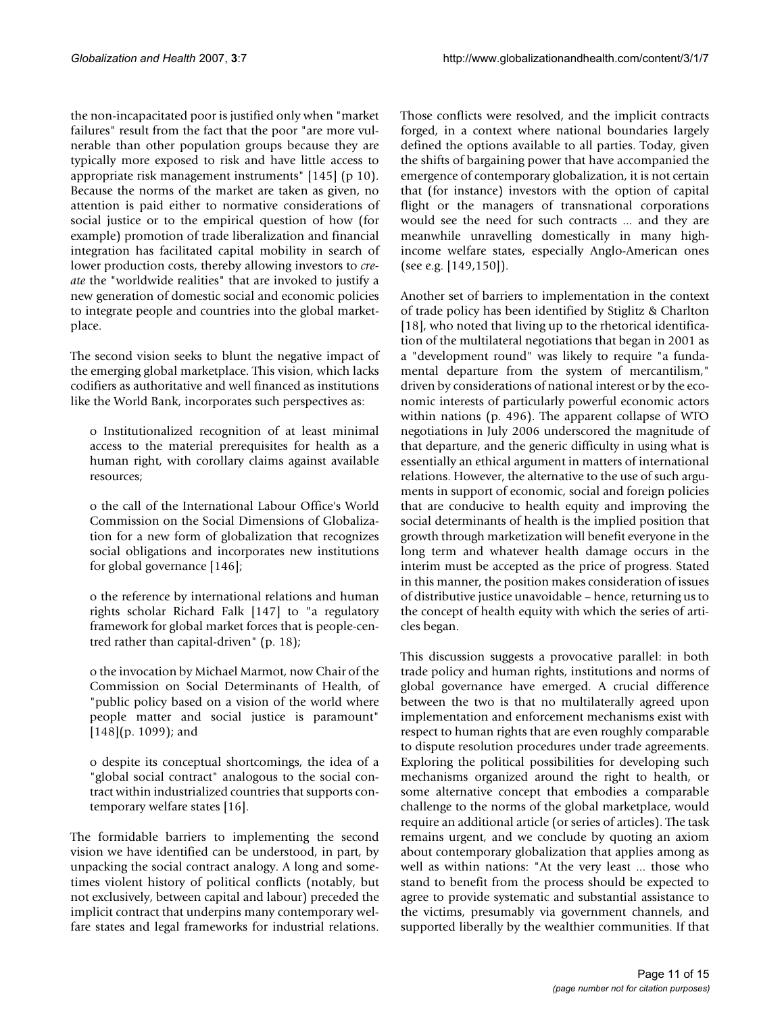the non-incapacitated poor is justified only when "market failures" result from the fact that the poor "are more vulnerable than other population groups because they are typically more exposed to risk and have little access to appropriate risk management instruments" [145] (p 10). Because the norms of the market are taken as given, no attention is paid either to normative considerations of social justice or to the empirical question of how (for example) promotion of trade liberalization and financial integration has facilitated capital mobility in search of lower production costs, thereby allowing investors to *create* the "worldwide realities" that are invoked to justify a new generation of domestic social and economic policies to integrate people and countries into the global marketplace.

The second vision seeks to blunt the negative impact of the emerging global marketplace. This vision, which lacks codifiers as authoritative and well financed as institutions like the World Bank, incorporates such perspectives as:

o Institutionalized recognition of at least minimal access to the material prerequisites for health as a human right, with corollary claims against available resources;

o the call of the International Labour Office's World Commission on the Social Dimensions of Globalization for a new form of globalization that recognizes social obligations and incorporates new institutions for global governance [146];

o the reference by international relations and human rights scholar Richard Falk [147] to "a regulatory framework for global market forces that is people-centred rather than capital-driven" (p. 18);

o the invocation by Michael Marmot, now Chair of the Commission on Social Determinants of Health, of "public policy based on a vision of the world where people matter and social justice is paramount" [148](p. 1099); and

o despite its conceptual shortcomings, the idea of a "global social contract" analogous to the social contract within industrialized countries that supports contemporary welfare states [16].

The formidable barriers to implementing the second vision we have identified can be understood, in part, by unpacking the social contract analogy. A long and sometimes violent history of political conflicts (notably, but not exclusively, between capital and labour) preceded the implicit contract that underpins many contemporary welfare states and legal frameworks for industrial relations.

Those conflicts were resolved, and the implicit contracts forged, in a context where national boundaries largely defined the options available to all parties. Today, given the shifts of bargaining power that have accompanied the emergence of contemporary globalization, it is not certain that (for instance) investors with the option of capital flight or the managers of transnational corporations would see the need for such contracts ... and they are meanwhile unravelling domestically in many highincome welfare states, especially Anglo-American ones (see e.g. [149,150]).

Another set of barriers to implementation in the context of trade policy has been identified by Stiglitz & Charlton [18], who noted that living up to the rhetorical identification of the multilateral negotiations that began in 2001 as a "development round" was likely to require "a fundamental departure from the system of mercantilism," driven by considerations of national interest or by the economic interests of particularly powerful economic actors within nations (p. 496). The apparent collapse of WTO negotiations in July 2006 underscored the magnitude of that departure, and the generic difficulty in using what is essentially an ethical argument in matters of international relations. However, the alternative to the use of such arguments in support of economic, social and foreign policies that are conducive to health equity and improving the social determinants of health is the implied position that growth through marketization will benefit everyone in the long term and whatever health damage occurs in the interim must be accepted as the price of progress. Stated in this manner, the position makes consideration of issues of distributive justice unavoidable – hence, returning us to the concept of health equity with which the series of articles began.

This discussion suggests a provocative parallel: in both trade policy and human rights, institutions and norms of global governance have emerged. A crucial difference between the two is that no multilaterally agreed upon implementation and enforcement mechanisms exist with respect to human rights that are even roughly comparable to dispute resolution procedures under trade agreements. Exploring the political possibilities for developing such mechanisms organized around the right to health, or some alternative concept that embodies a comparable challenge to the norms of the global marketplace, would require an additional article (or series of articles). The task remains urgent, and we conclude by quoting an axiom about contemporary globalization that applies among as well as within nations: "At the very least ... those who stand to benefit from the process should be expected to agree to provide systematic and substantial assistance to the victims, presumably via government channels, and supported liberally by the wealthier communities. If that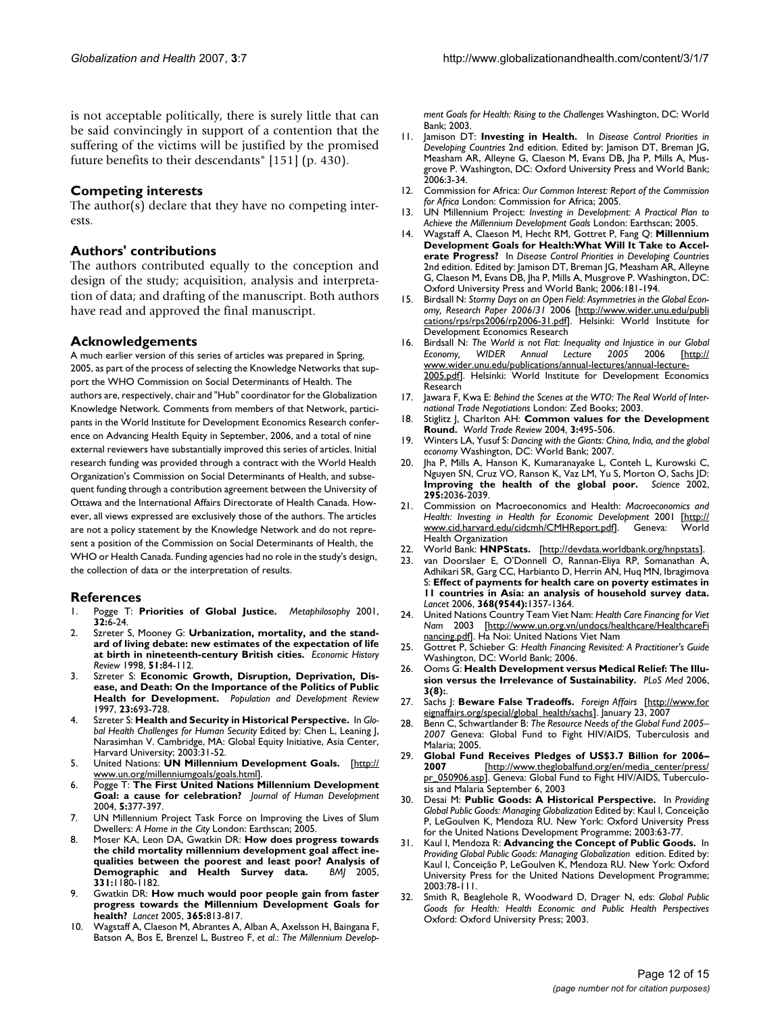is not acceptable politically, there is surely little that can be said convincingly in support of a contention that the suffering of the victims will be justified by the promised future benefits to their descendants" [151] (p. 430).

#### **Competing interests**

The author(s) declare that they have no competing interests.

#### **Authors' contributions**

The authors contributed equally to the conception and design of the study; acquisition, analysis and interpretation of data; and drafting of the manuscript. Both authors have read and approved the final manuscript.

#### **Acknowledgements**

A much earlier version of this series of articles was prepared in Spring, 2005, as part of the process of selecting the Knowledge Networks that support the WHO Commission on Social Determinants of Health. The authors are, respectively, chair and "Hub" coordinator for the Globalization Knowledge Network. Comments from members of that Network, participants in the World Institute for Development Economics Research conference on Advancing Health Equity in September, 2006, and a total of nine external reviewers have substantially improved this series of articles. Initial research funding was provided through a contract with the World Health Organization's Commission on Social Determinants of Health, and subsequent funding through a contribution agreement between the University of Ottawa and the International Affairs Directorate of Health Canada. However, all views expressed are exclusively those of the authors. The articles are not a policy statement by the Knowledge Network and do not represent a position of the Commission on Social Determinants of Health, the WHO or Health Canada. Funding agencies had no role in the study's design, the collection of data or the interpretation of results.

#### **References**

- 1. Pogge T: **Priorities of Global Justice.** *Metaphilosophy* 2001, **32:**6-24.
- Szreter S, Mooney G: Urbanization, mortality, and the stand**ard of living debate: new estimates of the expectation of life at birth in nineteenth-century British cities.** *Economic History Review* 1998, **51:**84-112.
- 3. Szreter S: **Economic Growth, Disruption, Deprivation, Disease, and Death: On the Importance of the Politics of Public Health for Development.** *Population and Development Review* 1997, **23:**693-728.
- 4. Szreter S: **Health and Security in Historical Perspective.** In *Global Health Challenges for Human Security* Edited by: Chen L, Leaning J, Narasimhan V. Cambridge, MA: Global Equity Initiative, Asia Center, Harvard University; 2003:31-52.
- 5. United Nations: **UN Millennium Development Goals.** [[http://](http://www.un.org/millenniumgoals/goals.html) [www.un.org/millenniumgoals/goals.html](http://www.un.org/millenniumgoals/goals.html)].
- 6. Pogge T: **The First United Nations Millennium Development Goal: a cause for celebration?** *Journal of Human Development* 2004, **5:**377-397.
- 7. UN Millennium Project Task Force on Improving the Lives of Slum Dwellers: *A Home in the City* London: Earthscan; 2005.
- 8. Moser KA, Leon DA, Gwatkin DR: **[How does progress towards](http://www.ncbi.nlm.nih.gov/entrez/query.fcgi?cmd=Retrieve&db=PubMed&dopt=Abstract&list_uids=16284209) the child mortality millennium development goal affect ine[qualities between the poorest and least poor? Analysis of](http://www.ncbi.nlm.nih.gov/entrez/query.fcgi?cmd=Retrieve&db=PubMed&dopt=Abstract&list_uids=16284209) [Demographic and Health Survey data.](http://www.ncbi.nlm.nih.gov/entrez/query.fcgi?cmd=Retrieve&db=PubMed&dopt=Abstract&list_uids=16284209)** *BMJ* 2005, **331:**1180-1182.
- 9. Gwatkin DR: **[How much would poor people gain from faster](http://www.ncbi.nlm.nih.gov/entrez/query.fcgi?cmd=Retrieve&db=PubMed&dopt=Abstract&list_uids=15733726) [progress towards the Millennium Development Goals for](http://www.ncbi.nlm.nih.gov/entrez/query.fcgi?cmd=Retrieve&db=PubMed&dopt=Abstract&list_uids=15733726) [health?](http://www.ncbi.nlm.nih.gov/entrez/query.fcgi?cmd=Retrieve&db=PubMed&dopt=Abstract&list_uids=15733726)** *Lancet* 2005, **365:**813-817.
- 10. Wagstaff A, Claeson M, Abrantes A, Alban A, Axelsson H, Baingana F, Batson A, Bos E, Brenzel L, Bustreo F, *et al.*: *The Millennium Develop-*

*ment Goals for Health: Rising to the Challenges* Washington, DC: World Bank; 2003.

- 11. Jamison DT: **Investing in Health.** In *Disease Control Priorities in Developing Countries* 2nd edition. Edited by: Jamison DT, Breman JG, Measham AR, Alleyne G, Claeson M, Evans DB, Jha P, Mills A, Musgrove P. Washington, DC: Oxford University Press and World Bank; 2006:3-34.
- 12. Commission for Africa: *Our Common Interest: Report of the Commission for Africa* London: Commission for Africa; 2005.
- 13. UN Millennium Project: *Investing in Development: A Practical Plan to Achieve the Millennium Development Goals* London: Earthscan; 2005.
- 14. Wagstaff A, Claeson M, Hecht RM, Gottret P, Fang Q: **Millennium Development Goals for Health:What Will It Take to Accelerate Progress?** In *Disease Control Priorities in Developing Countries* 2nd edition. Edited by: Jamison DT, Breman JG, Measham AR, Alleyne G, Claeson M, Evans DB, Jha P, Mills A, Musgrove P. Washington, DC: Oxford University Press and World Bank; 2006:181-194.
- 15. Birdsall N: *Stormy Days on an Open Field: Asymmetries in the Global Economy, Research Paper 2006/31* 2006 [[http://www.wider.unu.edu/publi](http://www.wider.unu.edu/publications/rps/rps2006/rp2006-31.pdf) [cations/rps/rps2006/rp2006-31.pdf\]](http://www.wider.unu.edu/publications/rps/rps2006/rp2006-31.pdf). Helsinki: World Institute for Development Economics Research
- 16. Birdsall N: *The World is not Flat: Inequality and Injustice in our Global Economy, WIDER Annual* [www.wider.unu.edu/publications/annual-lectures/annual-lecture-](http://www.wider.unu.edu/publications/annual-lectures/annual-lecture-2005.pdf)[2005.pdf\]](http://www.wider.unu.edu/publications/annual-lectures/annual-lecture-2005.pdf). Helsinki: World Institute for Development Economics Research
- 17. Jawara F, Kwa E: *Behind the Scenes at the WTO: The Real World of International Trade Negotiations* London: Zed Books; 2003.
- 18. Stiglitz J, Charlton AH: **Common values for the Development Round.** *World Trade Review* 2004, **3:**495-506.
- 19. Winters LA, Yusuf S: *Dancing with the Giants: China, India, and the global economy* Washington, DC: World Bank; 2007.
- 20. Jha P, Mills A, Hanson K, Kumaranayake L, Conteh L, Kurowski C, Nguyen SN, Cruz VO, Ranson K, Vaz LM, Yu S, Morton O, Sachs JD: **[Improving the health of the global poor.](http://www.ncbi.nlm.nih.gov/entrez/query.fcgi?cmd=Retrieve&db=PubMed&dopt=Abstract&list_uids=11896266)** *Science* 2002, **295:**2036-2039.
- 21. Commission on Macroeconomics and Health: *Macroeconomics and Health: Investing in Health for Economic Development* 2001 [\[http://](http://www.cid.harvard.edu/cidcmh/CMHReport.pdf) [www.cid.harvard.edu/cidcmh/CMHReport.pdf\]](http://www.cid.harvard.edu/cidcmh/CMHReport.pdf). Geneva: World Health Organization
- 22. World Bank: **HNPStats.** [<http://devdata.worldbank.org/hnpstats>].
- van Doorslaer E, O'Donnell O, Rannan-Eliya RP, Somanathan A, Adhikari SR, Garg CC, Harbianto D, Herrin AN, Huq MN, Ibragimova S: **[Effect of payments for health care on poverty estimates in](http://www.ncbi.nlm.nih.gov/entrez/query.fcgi?cmd=Retrieve&db=PubMed&dopt=Abstract&list_uids=17046468) [11 countries in Asia: an analysis of household survey data.](http://www.ncbi.nlm.nih.gov/entrez/query.fcgi?cmd=Retrieve&db=PubMed&dopt=Abstract&list_uids=17046468)** *Lancet* 2006, **368(9544):**1357-1364.
- 24. United Nations Country Team Viet Nam: *Health Care Financing for Viet Nam* 2003 [\[http://www.un.org.vn/undocs/healthcare/HealthcareFi](http://www.un.org.vn/undocs/healthcare/HealthcareFinancing.pdf) [nancing.pdf\]](http://www.un.org.vn/undocs/healthcare/HealthcareFinancing.pdf). Ha Noi: United Nations Viet Nam
- 25. Gottret P, Schieber G: *Health Financing Revisited: A Practitioner's Guide* Washington, DC: World Bank; 2006.
- 26. Ooms G: **Health Development versus Medical Relief: The Illusion versus the Irrelevance of Sustainability.** *PLoS Med* 2006, **3(8):**.
- 27. Sachs J: **Beware False Tradeoffs.** *Foreign Affairs* [[http://www.for](http://www.foreignaffairs.org/special/global_health/sachs) [eignaffairs.org/special/global\\_health/sachs](http://www.foreignaffairs.org/special/global_health/sachs)]. January 23, 2007
- 28. Benn C, Schwartlander B: *The Resource Needs of the Global Fund 2005– 2007* Geneva: Global Fund to Fight HIV/AIDS, Tuberculosis and Malaria; 2005.
- 29. **Global Fund Receives Pledges of US\$3.7 Billion for 2006–** [\[http://www.theglobalfund.org/en/media\\_center/press/](http://www.theglobalfund.org/en/media_center/press/pr_050906.asp) [pr\\_050906.asp](http://www.theglobalfund.org/en/media_center/press/pr_050906.asp)]. Geneva: Global Fund to Fight HIV/AIDS, Tuberculosis and Malaria September 6, 2003
- 30. Desai M: **Public Goods: A Historical Perspective.** In *Providing Global Public Goods: Managing Globalization* Edited by: Kaul I, Conceição P, LeGoulven K, Mendoza RU. New York: Oxford University Press for the United Nations Development Programme; 2003:63-77.
- Kaul I, Mendoza R: Advancing the Concept of Public Goods. In *Providing Global Public Goods: Managing Globalization* edition. Edited by: Kaul I, Conceição P, LeGoulven K, Mendoza RU. New York: Oxford University Press for the United Nations Development Programme; 2003:78-111.
- 32. Smith R, Beaglehole R, Woodward D, Drager N, eds: *Global Public Goods for Health: Health Economic and Public Health Perspectives* Oxford: Oxford University Press; 2003.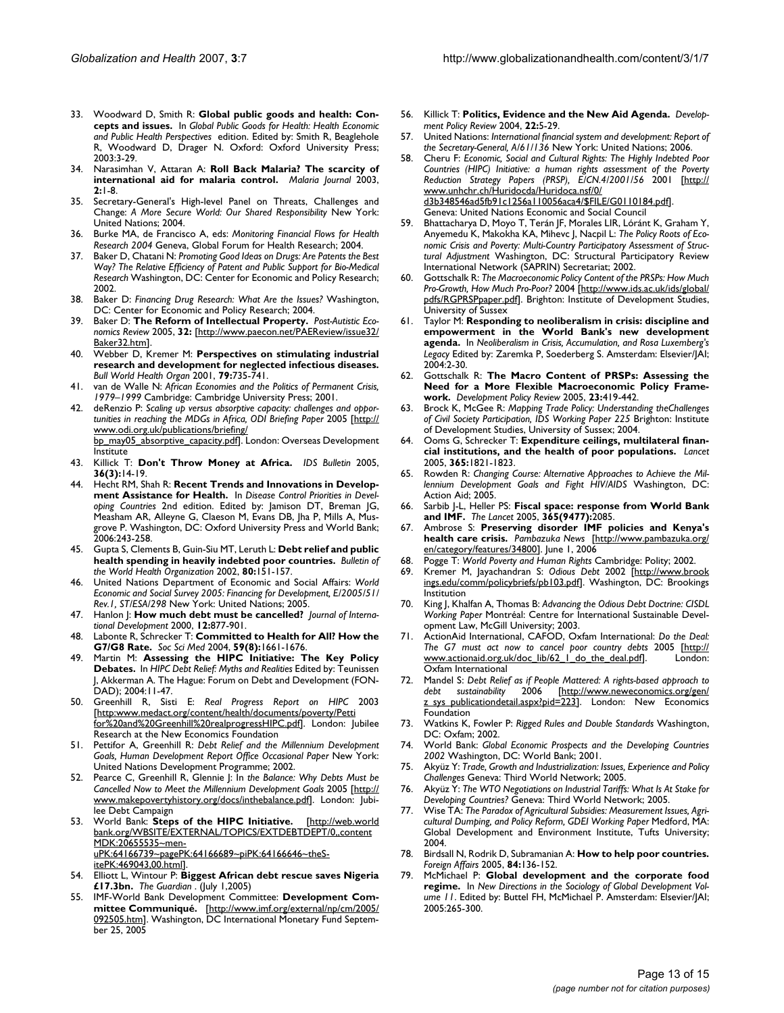- 33. Woodward D, Smith R: **Global public goods and health: Concepts and issues.** In *Global Public Goods for Health: Health Economic and Public Health Perspectives* edition. Edited by: Smith R, Beaglehole R, Woodward D, Drager N. Oxford: Oxford University Press; 2003:3-29.
- 34. Narasimhan V, Attaran A: **[Roll Back Malaria? The scarcity of](http://www.ncbi.nlm.nih.gov/entrez/query.fcgi?cmd=Retrieve&db=PubMed&dopt=Abstract&list_uids=12605724) [international aid for malaria control.](http://www.ncbi.nlm.nih.gov/entrez/query.fcgi?cmd=Retrieve&db=PubMed&dopt=Abstract&list_uids=12605724)** *Malaria Journal* 2003, **2:**1-8.
- Secretary-General's High-level Panel on Threats, Challenges and Change: *A More Secure World: Our Shared Responsibility* New York: United Nations; 2004.
- 36. Burke MA, de Francisco A, eds: *Monitoring Financial Flows for Health Research 2004* Geneva, Global Forum for Health Research; 2004.
- 37. Baker D, Chatani N: *Promoting Good Ideas on Drugs: Are Patents the Best Way? The Relative Efficiency of Patent and Public Support for Bio-Medical Research* Washington, DC: Center for Economic and Policy Research; 2002.
- 38. Baker D: *Financing Drug Research: What Are the Issues?* Washington, DC: Center for Economic and Policy Research; 2004.
- 39. Baker D: **The Reform of Intellectual Property.** *Post-Autistic Economics Review* 2005, **32:** [[http://www.paecon.net/PAEReview/issue32/](http://www.paecon.net/PAEReview/issue32/Baker32.htm) [Baker32.htm](http://www.paecon.net/PAEReview/issue32/Baker32.htm)].
- 40. Webber D, Kremer M: **[Perspectives on stimulating industrial](http://www.ncbi.nlm.nih.gov/entrez/query.fcgi?cmd=Retrieve&db=PubMed&dopt=Abstract&list_uids=11545330) [research and development for neglected infectious diseases.](http://www.ncbi.nlm.nih.gov/entrez/query.fcgi?cmd=Retrieve&db=PubMed&dopt=Abstract&list_uids=11545330)** *Bull World Health Organ* 2001, **79:**735-741.
- van de Walle N: African Economies and the Politics of Permanent Crisis, *1979–1999* Cambridge: Cambridge University Press; 2001.
- 42. deRenzio P: *Scaling up versus absorptive capacity: challenges and opportunities in reaching the MDGs in Africa, ODI Briefing Paper* 2005 [[http://](http://www.odi.org.uk/publications/briefing/bp_may05_absorptive_capacity.pdf) [www.odi.org.uk/publications/briefing/](http://www.odi.org.uk/publications/briefing/bp_may05_absorptive_capacity.pdf) [bp\\_may05\\_absorptive\\_capacity.pdf\]](http://www.odi.org.uk/publications/briefing/bp_may05_absorptive_capacity.pdf). London: Overseas Development Institute
- 43. Killick T: **Don't Throw Money at Africa.** *IDS Bulletin* 2005, **36(3):**14-19.
- 44. Hecht RM, Shah R: **Recent Trends and Innovations in Development Assistance for Health.** In *Disease Control Priorities in Developing Countries* 2nd edition. Edited by: Jamison DT, Breman JG, Measham AR, Alleyne G, Claeson M, Evans DB, Jha P, Mills A, Musgrove P. Washington, DC: Oxford University Press and World Bank; 2006:243-258.
- 45. Gupta S, Clements B, Guin-Siu MT, Leruth L: **[Debt relief and public](http://www.ncbi.nlm.nih.gov/entrez/query.fcgi?cmd=Retrieve&db=PubMed&dopt=Abstract&list_uids=11953794) [health spending in heavily indebted poor countries.](http://www.ncbi.nlm.nih.gov/entrez/query.fcgi?cmd=Retrieve&db=PubMed&dopt=Abstract&list_uids=11953794)** *Bulletin of the World Health Organization* 2002, **80:**151-157.
- 46. United Nations Department of Economic and Social Affairs: *World Economic and Social Survey 2005: Financing for Development, E/2005/51/ Rev.1, ST/ESA/298* New York: United Nations; 2005.
- 47. Hanlon J: **How much debt must be cancelled?** *Journal of International Development* 2000, **12:**877-901.
- 48. Labonte R, Schrecker T: **[Committed to Health for All? How the](http://www.ncbi.nlm.nih.gov/entrez/query.fcgi?cmd=Retrieve&db=PubMed&dopt=Abstract&list_uids=15279923) [G7/G8 Rate.](http://www.ncbi.nlm.nih.gov/entrez/query.fcgi?cmd=Retrieve&db=PubMed&dopt=Abstract&list_uids=15279923)** *Soc Sci Med* 2004, **59(8):**1661-1676.
- 49. Martin M: **Assessing the HIPC Initiative: The Key Policy Debates.** In *HIPC Debt Relief: Myths and Realities* Edited by: Teunissen J, Akkerman A. The Hague: Forum on Debt and Development (FON-DAD); 2004:11-47.
- 50. Greenhill R, Sisti E: *Real Progress Report on HIPC* 2003 [[http:www.medact.org/content/health/documents/poverty/Petti](http://www.medact.org/content/health/documents/poverty/Pettifor%20and%20Greenhill%20realprogressHIPC.pdf) [for%20and%20Greenhill%20realprogressHIPC.pdf](http://www.medact.org/content/health/documents/poverty/Pettifor%20and%20Greenhill%20realprogressHIPC.pdf)]. London: Jubilee Research at the New Economics Foundation
- 51. Pettifor A, Greenhill R: *Debt Relief and the Millennium Development Goals, Human Development Report Office Occasional Paper* New York: United Nations Development Programme; 2002.
- 52. Pearce C, Greenhill R, Glennie J: In *the Balance: Why Debts Must be Cancelled Now to Meet the Millennium Development Goals* 2005 [[http://](http://www.makepovertyhistory.org/docs/inthebalance.pdf) [www.makepovertyhistory.org/docs/inthebalance.pdf](http://www.makepovertyhistory.org/docs/inthebalance.pdf)]. London: Jubilee Debt Campaign
- 53. World Bank: **Steps of the HIPC Initiative.** [[http://web.world](http://web.worldbank.org/WBSITE/EXTERNAL/TOPICS/EXTDEBTDEPT/0,,contentMDK:20655535~menuPK:64166739~pagePK:64166689~piPK:64166646~theSitePK:469043,00.html) [bank.org/WBSITE/EXTERNAL/TOPICS/EXTDEBTDEPT/0,,content](http://web.worldbank.org/WBSITE/EXTERNAL/TOPICS/EXTDEBTDEPT/0,,contentMDK:20655535~menuPK:64166739~pagePK:64166689~piPK:64166646~theSitePK:469043,00.html) MDK:20655535~menuPK:64166739~pagePK:64166689~piPK:64166646~theS[itePK:469043,00.html](http://web.worldbank.org/WBSITE/EXTERNAL/TOPICS/EXTDEBTDEPT/0,,contentMDK:20655535~menuPK:64166739~pagePK:64166689~piPK:64166646~theSitePK:469043,00.html)].
- 54. Elliott L, Wintour P: **Biggest African debt rescue saves Nigeria £17.3bn.** *The Guardian* . (July 1,2005)
- 55. IMF-World Bank Development Committee: **Development Committee Communiqué.** [\[http://www.imf.org/external/np/cm/2005/](http://www.imf.org/external/np/cm/2005/092505.htm) [092505.htm\]](http://www.imf.org/external/np/cm/2005/092505.htm). Washington, DC International Monetary Fund September 25, 2005
- 56. Killick T: **Politics, Evidence and the New Aid Agenda.** *Development Policy Review* 2004, **22:**5-29.
- 57. United Nations: *International financial system and development: Report of the Secretary-General, A/61/136* New York: United Nations; 2006.
- 58. Cheru F: *Economic, Social and Cultural Rights: The Highly Indebted Poor Countries (HIPC) Initiative: a human rights assessment of the Poverty Reduction Strategy Papers (PRSP), E/CN.4/2001/56* 2001 [\[http://](http://www.unhchr.ch/Huridocda/Huridoca.nsf/0/d3b348546ad5fb91c1256a110056aca4/$FILE/G0110184.pdf) [www.unhchr.ch/Huridocda/Huridoca.nsf/0/](http://www.unhchr.ch/Huridocda/Huridoca.nsf/0/d3b348546ad5fb91c1256a110056aca4/$FILE/G0110184.pdf) [d3b348546ad5fb91c1256a110056aca4/\\$FILE/G0110184.pdf](http://www.unhchr.ch/Huridocda/Huridoca.nsf/0/d3b348546ad5fb91c1256a110056aca4/$FILE/G0110184.pdf)]. Geneva: United Nations Economic and Social Council
- 59. Bhattacharya D, Moyo T, Terán JF, Morales LIR, Lóránt K, Graham Y, Anyemedu K, Makokha KA, Mihevc J, Nacpil L: *The Policy Roots of Economic Crisis and Poverty: Multi-Country Participatory Assessment of Structural Adjustment* Washington, DC: Structural Participatory Review International Network (SAPRIN) Secretariat; 2002.
- 60. Gottschalk R: *The Macroeconomic Policy Content of the PRSPs: How Much Pro-Growth, How Much Pro-Poor?* 2004 [[http://www.ids.ac.uk/ids/global/](http://www.ids.ac.uk/ids/global/pdfs/RGPRSPpaper.pdf) [pdfs/RGPRSPpaper.pdf](http://www.ids.ac.uk/ids/global/pdfs/RGPRSPpaper.pdf)]. Brighton: Institute of Development Studies, University of Sussex
- 61. Taylor M: **Responding to neoliberalism in crisis: discipline and empowerment in the World Bank's new development agenda.** In *Neoliberalism in Crisis, Accumulation, and Rosa Luxemberg's Legacy* Edited by: Zaremka P, Soederberg S. Amsterdam: Elsevier/JAI; 2004:2-30.
- 62. Gottschalk R: **The Macro Content of PRSPs: Assessing the Need for a More Flexible Macroeconomic Policy Framework.** *Development Policy Review* 2005, **23:**419-442.
- 63. Brock K, McGee R: *Mapping Trade Policy: Understanding theChallenges of Civil Society Participation, IDS Working Paper 225* Brighton: Institute of Development Studies, University of Sussex; 2004.
- 64. Ooms G, Schrecker T: **[Expenditure ceilings, multilateral finan](http://www.ncbi.nlm.nih.gov/entrez/query.fcgi?cmd=Retrieve&db=PubMed&dopt=Abstract&list_uids=15910956)[cial institutions, and the health of poor populations.](http://www.ncbi.nlm.nih.gov/entrez/query.fcgi?cmd=Retrieve&db=PubMed&dopt=Abstract&list_uids=15910956)** *Lancet* 2005, **365:**1821-1823.
- 65. Rowden R: *Changing Course: Alternative Approaches to Achieve the Millennium Development Goals and Fight HIV/AIDS* Washington, DC: Action Aid; 2005.
- 66. Sarbib J-L, Heller PS: **Fiscal space: response from World Bank and IMF.** *The Lancet* 2005, **365(9477):**2085.
- 67. Ambrose S: **Preserving disorder IMF policies and Kenya's health care crisis.** *Pambazuka News* [[http://www.pambazuka.org/](http://www.pambazuka.org/en/category/features/34800) [en/category/features/34800\]](http://www.pambazuka.org/en/category/features/34800). June 1, 2006
- 68. Pogge T: *World Poverty and Human Rights* Cambridge: Polity; 2002.
- 69. Kremer M, Jayachandran S: *Odious Debt* 2002 [[http://www.brook](http://www.brookings.edu/comm/policybriefs/pb103.pdf) [ings.edu/comm/policybriefs/pb103.pdf\]](http://www.brookings.edu/comm/policybriefs/pb103.pdf). Washington, DC: Brookings Institution
- 70. King J, Khalfan A, Thomas B: *Advancing the Odious Debt Doctrine: CISDL Working Paper* Montréal: Centre for International Sustainable Development Law, McGill University; 2003.
- 71. ActionAid International, CAFOD, Oxfam International: *Do the Deal: The G7 must act now to cancel poor country debts* 2005 [\[http://](http://www.actionaid.org.uk/doc_lib/62_1_do_the_deal.pdf) [www.actionaid.org.uk/doc\\_lib/62\\_1\\_do\\_the\\_deal.pdf](http://www.actionaid.org.uk/doc_lib/62_1_do_the_deal.pdf)]. Oxfam International
- 72. Mandel S: *Debt Relief as if People Mattered: A rights-based approach to debt sustainability* 2006 [[http://www.neweconomics.org/gen/](http://www.neweconomics.org/gen/z_sys_publicationdetail.aspx?pid=223) [z\\_sys\\_publicationdetail.aspx?pid=223](http://www.neweconomics.org/gen/z_sys_publicationdetail.aspx?pid=223)]. London: New Economics Foundation
- 73. Watkins K, Fowler P: *Rigged Rules and Double Standards* Washington, DC: Oxfam; 2002.
- 74. World Bank: *Global Economic Prospects and the Developing Countries 2002* Washington, DC: World Bank; 2001.
- 75. Akyüz Y: *Trade, Growth and Industrialization: Issues, Experience and Policy Challenges* Geneva: Third World Network; 2005.
- 76. Akyüz Y: *The WTO Negotiations on Industrial Tariffs: What Is At Stake for Developing Countries?* Geneva: Third World Network; 2005.
- 77. Wise TA: *The Paradox of Agricultural Subsidies: Measurement Issues, Agricultural Dumping, and Policy Reform, GDEI Working Paper* Medford, MA: Global Development and Environment Institute, Tufts University; 2004.
- 78. Birdsall N, Rodrik D, Subramanian A: **How to help poor countries.** *Foreign Affairs* 2005, **84:**136-152.
- 79. McMichael P: **Global development and the corporate food regime.** In *New Directions in the Sociology of Global Development Volume 11*. Edited by: Buttel FH, McMichael P. Amsterdam: Elsevier/JAI; 2005:265-300.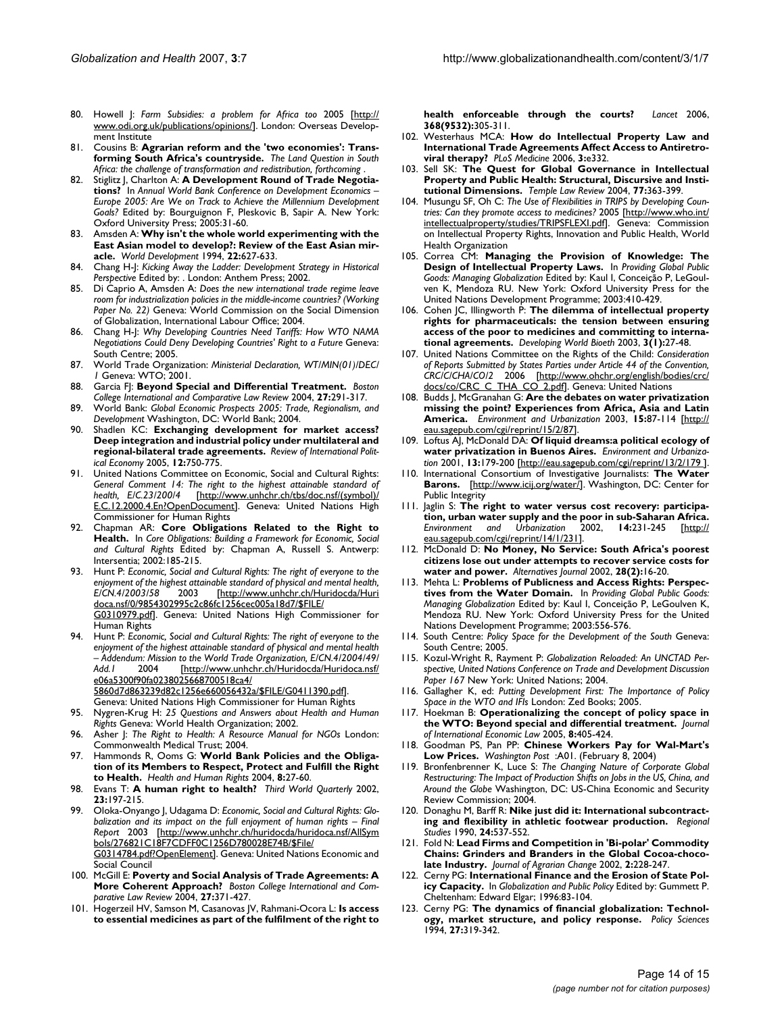- 80. Howell J: *Farm Subsidies: a problem for Africa too* 2005 [[http://](http://www.odi.org.uk/publications/opinions/) [www.odi.org.uk/publications/opinions/](http://www.odi.org.uk/publications/opinions/)]. London: Overseas Development Institute
- Cousins B: Agrarian reform and the 'two economies': Trans**forming South Africa's countryside.** *The Land Question in South Africa: the challenge of transformation and redistribution, forthcoming* .
- 82. Stiglitz J, Charlton A: **A Development Round of Trade Negotiations?** In *Annual World Bank Conference on Development Economics – Europe 2005: Are We on Track to Achieve the Millennium Development Goals?* Edited by: Bourguignon F, Pleskovic B, Sapir A. New York: Oxford University Press; 2005:31-60.
- 83. Amsden A: **Why isn't the whole world experimenting with the East Asian model to develop?: Review of the East Asian miracle.** *World Development* 1994, **22:**627-633.
- 84. Chang H-J: *Kicking Away the Ladder: Development Strategy in Historical Perspective* Edited by: . London: Anthem Press; 2002.
- 85. Di Caprio A, Amsden A: *Does the new international trade regime leave room for industrialization policies in the middle-income countries? (Working Paper No. 22)* Geneva: World Commission on the Social Dimension of Globalization, International Labour Office; 2004.
- 86. Chang H-J: *Why Developing Countries Need Tariffs: How WTO NAMA Negotiations Could Deny Developing Countries' Right to a Future* Geneva: South Centre; 2005.
- 87. World Trade Organization: *Ministerial Declaration, WT/MIN(01)/DEC/ 1* Geneva: WTO; 2001.
- 88. Garcia FJ: **Beyond Special and Differential Treatment.** *Boston College International and Comparative Law Review* 2004, **27:**291-317.
- 89. World Bank: *Global Economic Prospects 2005: Trade, Regionalism, and Development* Washington, DC: World Bank; 2004.
- 90. Shadlen KC: **Exchanging development for market access? Deep integration and industrial policy under multilateral and regional-bilateral trade agreements.** *Review of International Political Economy* 2005, **12:**750-775.
- 91. United Nations Committee on Economic, Social and Cultural Rights: *General Comment 14: The right to the highest attainable standard of* [\[http://www.unhchr.ch/tbs/doc.nsf/\(symbol\)/](http://www.unhchr.ch/tbs/doc.nsf/(symbol)/E.C.12.2000.4.En?OpenDocument) [E.C.12.2000.4.En?OpenDocument](http://www.unhchr.ch/tbs/doc.nsf/(symbol)/E.C.12.2000.4.En?OpenDocument)]. Geneva: United Nations High Commissioner for Human Rights
- 92. Chapman AR: **Core Obligations Related to the Right to Health.** In *Core Obligations: Building a Framework for Economic, Social and Cultural Rights* Edited by: Chapman A, Russell S. Antwerp: Intersentia; 2002:185-215.
- 93. Hunt P: *Economic, Social and Cultural Rights: The right of everyone to the enjoyment of the highest attainable standard of physical and mental health, E/CN.4/2003/58* 2003 [\[http://www.unhchr.ch/Huridocda/Huri](http://www.unhchr.ch/Huridocda/Huridoca.nsf/0/9854302995c2c86fc1256cec005a18d7/$FILE/G0310979.pdf) [doca.nsf/0/9854302995c2c86fc1256cec005a18d7/\\$FILE/](http://www.unhchr.ch/Huridocda/Huridoca.nsf/0/9854302995c2c86fc1256cec005a18d7/$FILE/G0310979.pdf) [G0310979.pdf\]](http://www.unhchr.ch/Huridocda/Huridoca.nsf/0/9854302995c2c86fc1256cec005a18d7/$FILE/G0310979.pdf). Geneva: United Nations High Commissioner for Human Rights
- 94. Hunt P: *Economic, Social and Cultural Rights: The right of everyone to the enjoyment of the highest attainable standard of physical and mental health – Addendum: Mission to the World Trade Organization, E/CN.4/2004/49/ Add.1* 2004 [[http://www.unhchr.ch/Huridocda/Huridoca.nsf/](http://www.unhchr.ch/Huridocda/Huridoca.nsf/e06a5300f90fa0238025668700518ca4/5860d7d863239d82c1256e660056432a/$FILE/G0411390.pdf) [e06a5300f90fa0238025668700518ca4/](http://www.unhchr.ch/Huridocda/Huridoca.nsf/e06a5300f90fa0238025668700518ca4/5860d7d863239d82c1256e660056432a/$FILE/G0411390.pdf) [5860d7d863239d82c1256e660056432a/\\$FILE/G0411390.pdf](http://www.unhchr.ch/Huridocda/Huridoca.nsf/e06a5300f90fa0238025668700518ca4/5860d7d863239d82c1256e660056432a/$FILE/G0411390.pdf)]. Geneva: United Nations High Commissioner for Human Rights
- 95. Nygren-Krug H: *25 Questions and Answers about Health and Human Rights* Geneva: World Health Organization; 2002.
- 96. Asher J: *The Right to Health: A Resource Manual for NGOs* London: Commonwealth Medical Trust; 2004.
- 97. Hammonds R, Ooms G: **World Bank Policies and the Obligation of its Members to Respect, Protect and Fulfill the Right to Health.** *Health and Human Rights* 2004, **8:**27-60.
- 98. Evans T: **A human right to health?** *Third World Quarterly* 2002, **23:**197-215.
- 99. Oloka-Onyango J, Udagama D: *Economic, Social and Cultural Rights: Globalization and its impact on the full enjoyment of human rights – Final Report* 2003 [\[http://www.unhchr.ch/huridocda/huridoca.nsf/AllSym](http://www.unhchr.ch/huridocda/huridoca.nsf/AllSymbols/276821C18F7CDFF0C1256D780028E74B/$File/G0314784.pdf?OpenElement) [bols/276821C18F7CDFF0C1256D780028E74B/\\$File/](http://www.unhchr.ch/huridocda/huridoca.nsf/AllSymbols/276821C18F7CDFF0C1256D780028E74B/$File/G0314784.pdf?OpenElement) [G0314784.pdf?OpenElement](http://www.unhchr.ch/huridocda/huridoca.nsf/AllSymbols/276821C18F7CDFF0C1256D780028E74B/$File/G0314784.pdf?OpenElement)]. Geneva: United Nations Economic and Social Council
- 100. McGill E: **Poverty and Social Analysis of Trade Agreements: A More Coherent Approach?** *Boston College International and Comparative Law Review* 2004, **27:**371-427.
- 101. Hogerzeil HV, Samson M, Casanovas JV, Rahmani-Ocora L: **[Is access](http://www.ncbi.nlm.nih.gov/entrez/query.fcgi?cmd=Retrieve&db=PubMed&dopt=Abstract&list_uids=16860700) [to essential medicines as part of the fulfilment of the right to](http://www.ncbi.nlm.nih.gov/entrez/query.fcgi?cmd=Retrieve&db=PubMed&dopt=Abstract&list_uids=16860700)**

**[health enforceable through the courts?](http://www.ncbi.nlm.nih.gov/entrez/query.fcgi?cmd=Retrieve&db=PubMed&dopt=Abstract&list_uids=16860700)** *Lancet* 2006, **368(9532):**305-311.

- 102. Westerhaus MCA: **[How do Intellectual Property Law and](http://www.ncbi.nlm.nih.gov/entrez/query.fcgi?cmd=Retrieve&db=PubMed&dopt=Abstract&list_uids=16881728) [International Trade Agreements Affect Access to Antiretro](http://www.ncbi.nlm.nih.gov/entrez/query.fcgi?cmd=Retrieve&db=PubMed&dopt=Abstract&list_uids=16881728)[viral therapy?](http://www.ncbi.nlm.nih.gov/entrez/query.fcgi?cmd=Retrieve&db=PubMed&dopt=Abstract&list_uids=16881728)** *PLoS Medicine* 2006, **3:**e332.
- 103. Sell SK: **The Quest for Global Governance in Intellectual Property and Public Health: Structural, Discursive and Institutional Dimensions.** *Temple Law Review* 2004, **77:**363-399.
- 104. Musungu SF, Oh C: *The Use of Flexibilities in TRIPS by Developing Countries: Can they promote access to medicines?* 2005 [[http://www.who.int/](http://www.who.int/intellectualproperty/studies/TRIPSFLEXI.pdf) [intellectualproperty/studies/TRIPSFLEXI.pdf](http://www.who.int/intellectualproperty/studies/TRIPSFLEXI.pdf)]. Geneva: Commission on Intellectual Property Rights, Innovation and Public Health, World Health Organization
- 105. Correa CM: **Managing the Provision of Knowledge: The Design of Intellectual Property Laws.** In *Providing Global Public Goods: Managing Globalization* Edited by: Kaul I, Conceição P, LeGoulven K, Mendoza RU. New York: Oxford University Press for the United Nations Development Programme; 2003:410-429.
- 106. Cohen JC, Illingworth P: **[The dilemma of intellectual property](http://www.ncbi.nlm.nih.gov/entrez/query.fcgi?cmd=Retrieve&db=PubMed&dopt=Abstract&list_uids=14577451) rights for pharmaceuticals: the tension between ensuring [access of the poor to medicines and committing to interna](http://www.ncbi.nlm.nih.gov/entrez/query.fcgi?cmd=Retrieve&db=PubMed&dopt=Abstract&list_uids=14577451)[tional agreements.](http://www.ncbi.nlm.nih.gov/entrez/query.fcgi?cmd=Retrieve&db=PubMed&dopt=Abstract&list_uids=14577451)** *Developing World Bioeth* 2003, **3(1):**27-48.
- 107. United Nations Committee on the Rights of the Child: *Consideration of Reports Submitted by States Parties under Article 44 of the Convention, CRC/C/CHA/CO/2* 2006 [[http://www.ohchr.org/english/bodies/crc/](http://www.ohchr.org/english/bodies/crc/docs/co/CRC_C_THA_CO_2.pdf) [docs/co/CRC\\_C\\_THA\\_CO\\_2.pdf](http://www.ohchr.org/english/bodies/crc/docs/co/CRC_C_THA_CO_2.pdf)]. Geneva: United Nations
- 108. Budds J, McGranahan G: **Are the debates on water privatization missing the point? Experiences from Africa, Asia and Latin America.** *Environment and Urbanization* 2003, **15:**87-114 [\[http://](http://eau.sagepub.com/cgi/reprint/15/2/87) [eau.sagepub.com/cgi/reprint/15/2/87](http://eau.sagepub.com/cgi/reprint/15/2/87)].
- 109. Loftus AJ, McDonald DA: **Of liquid dreams:a political ecology of water privatization in Buenos Aires.** *Environment and Urbanization* 2001, **13:**179-200 [[http://eau.sagepub.com/cgi/reprint/13/2/179 \]](http://eau.sagepub.com/cgi/reprint/13/2/179 ).
- 110. International Consortium of Investigative Journalists: **The Water** Barons. [\[http://www.icij.org/water/\]](http://www.icij.org/water/). Washington, DC: Center for Public Integrity
- 111. Jaglin S: **The right to water versus cost recovery: participation, urban water supply and the poor in sub-Saharan Africa.** *Environment and Urbanization* 2002, **14:**231-245 [\[http://](http://eau.sagepub.com/cgi/reprint/14/1/231) [eau.sagepub.com/cgi/reprint/14/1/231](http://eau.sagepub.com/cgi/reprint/14/1/231)].
- 112. McDonald D: **No Money, No Service: South Africa's poorest citizens lose out under attempts to recover service costs for water and power.** *Alternatives Journal* 2002, **28(2):**16-20.
- 113. Mehta L: **Problems of Publicness and Access Rights: Perspectives from the Water Domain.** In *Providing Global Public Goods: Managing Globalization* Edited by: Kaul I, Conceição P, LeGoulven K, Mendoza RU. New York: Oxford University Press for the United Nations Development Programme; 2003:556-576.
- 114. South Centre: *Policy Space for the Development of the South* Geneva: South Centre; 2005.
- 115. Kozul-Wright R, Rayment P: *Globalization Reloaded: An UNCTAD Perspective, United Nations Conference on Trade and Development Discussion Paper 167* New York: United Nations; 2004.
- 116. Gallagher K, ed: *Putting Development First: The Importance of Policy Space in the WTO and IFIs* London: Zed Books; 2005.
- 117. Hoekman B: **Operationalizing the concept of policy space in the WTO: Beyond special and differential treatment.** *Journal of International Economic Law* 2005, **8:**405-424.
- 118. Goodman PS, Pan PP: **Chinese Workers Pay for Wal-Mart's Low Prices.** *Washington Post* :A01. (February 8, 2004)
- 119. Bronfenbrenner K, Luce S: *The Changing Nature of Corporate Global Restructuring: The Impact of Production Shifts on Jobs in the US, China, and Around the Globe* Washington, DC: US-China Economic and Security Review Commission; 2004.
- 120. Donaghu M, Barff R: **Nike just did it: International subcontracting and flexibility in athletic footwear production.** *Regional Studies* 1990, **24:**537-552.
- 121. Fold N: **Lead Firms and Competition in 'Bi-polar' Commodity Chains: Grinders and Branders in the Global Cocoa-chocolate Industry.** *Journal of Agrarian Change* 2002, **2:**228-247.
- 122. Cerny PG: **International Finance and the Erosion of State Policy Capacity.** In *Globalization and Public Policy* Edited by: Gummett P. Cheltenham: Edward Elgar; 1996:83-104.
- 123. Cerny PG: **The dynamics of financial globalization: Technology, market structure, and policy response.** *Policy Sciences* 1994, **27:**319-342.